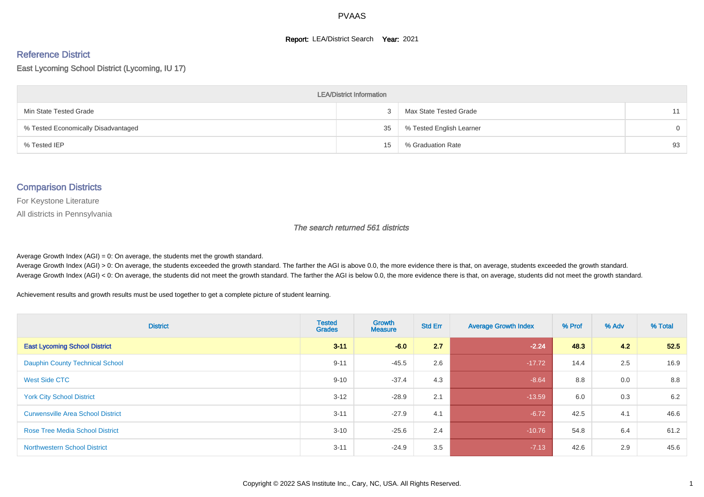#### **Report: LEA/District Search Year: 2021**

# Reference District

East Lycoming School District (Lycoming, IU 17)

| <b>LEA/District Information</b>     |    |                          |          |  |  |  |  |  |  |
|-------------------------------------|----|--------------------------|----------|--|--|--|--|--|--|
| Min State Tested Grade              |    | Max State Tested Grade   | 11       |  |  |  |  |  |  |
| % Tested Economically Disadvantaged | 35 | % Tested English Learner | $\Omega$ |  |  |  |  |  |  |
| % Tested IEP                        | 15 | % Graduation Rate        | 93       |  |  |  |  |  |  |

#### Comparison Districts

For Keystone Literature

All districts in Pennsylvania

The search returned 561 districts

Average Growth Index  $(AGI) = 0$ : On average, the students met the growth standard.

Average Growth Index (AGI) > 0: On average, the students exceeded the growth standard. The farther the AGI is above 0.0, the more evidence there is that, on average, students exceeded the growth standard. Average Growth Index (AGI) < 0: On average, the students did not meet the growth standard. The farther the AGI is below 0.0, the more evidence there is that, on average, students did not meet the growth standard.

Achievement results and growth results must be used together to get a complete picture of student learning.

| <b>District</b>                          | <b>Tested</b><br><b>Grades</b> | Growth<br><b>Measure</b> | <b>Std Err</b> | <b>Average Growth Index</b> | % Prof | % Adv | % Total |
|------------------------------------------|--------------------------------|--------------------------|----------------|-----------------------------|--------|-------|---------|
| <b>East Lycoming School District</b>     | $3 - 11$                       | $-6.0$                   | 2.7            | $-2.24$                     | 48.3   | 4.2   | 52.5    |
| <b>Dauphin County Technical School</b>   | $9 - 11$                       | $-45.5$                  | 2.6            | $-17.72$                    | 14.4   | 2.5   | 16.9    |
| West Side CTC                            | $9 - 10$                       | $-37.4$                  | 4.3            | $-8.64$                     | 8.8    | 0.0   | 8.8     |
| <b>York City School District</b>         | $3 - 12$                       | $-28.9$                  | 2.1            | $-13.59$                    | 6.0    | 0.3   | 6.2     |
| <b>Curwensville Area School District</b> | $3 - 11$                       | $-27.9$                  | 4.1            | $-6.72$                     | 42.5   | 4.1   | 46.6    |
| <b>Rose Tree Media School District</b>   | $3 - 10$                       | $-25.6$                  | 2.4            | $-10.76$                    | 54.8   | 6.4   | 61.2    |
| <b>Northwestern School District</b>      | $3 - 11$                       | $-24.9$                  | 3.5            | $-7.13$                     | 42.6   | 2.9   | 45.6    |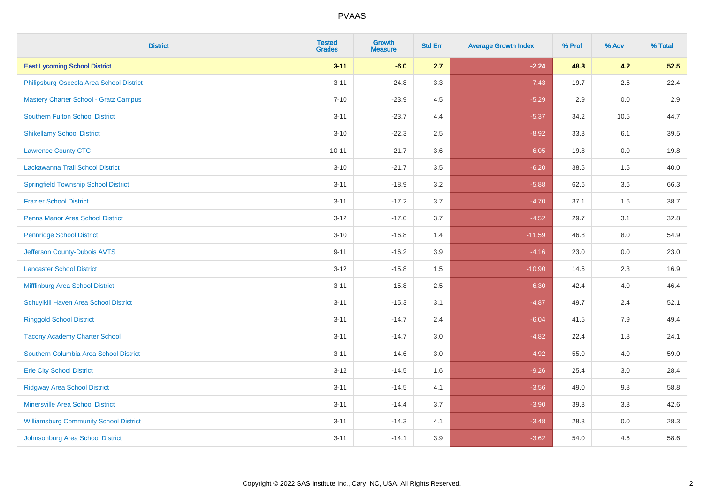| <b>District</b>                               | <b>Tested</b><br><b>Grades</b> | <b>Growth</b><br><b>Measure</b> | <b>Std Err</b> | <b>Average Growth Index</b> | % Prof | % Adv   | % Total |
|-----------------------------------------------|--------------------------------|---------------------------------|----------------|-----------------------------|--------|---------|---------|
| <b>East Lycoming School District</b>          | $3 - 11$                       | $-6.0$                          | 2.7            | $-2.24$                     | 48.3   | 4.2     | 52.5    |
| Philipsburg-Osceola Area School District      | $3 - 11$                       | $-24.8$                         | 3.3            | $-7.43$                     | 19.7   | $2.6\,$ | 22.4    |
| <b>Mastery Charter School - Gratz Campus</b>  | $7 - 10$                       | $-23.9$                         | 4.5            | $-5.29$                     | 2.9    | 0.0     | 2.9     |
| <b>Southern Fulton School District</b>        | $3 - 11$                       | $-23.7$                         | 4.4            | $-5.37$                     | 34.2   | 10.5    | 44.7    |
| <b>Shikellamy School District</b>             | $3 - 10$                       | $-22.3$                         | 2.5            | $-8.92$                     | 33.3   | 6.1     | 39.5    |
| <b>Lawrence County CTC</b>                    | $10 - 11$                      | $-21.7$                         | 3.6            | $-6.05$                     | 19.8   | 0.0     | 19.8    |
| Lackawanna Trail School District              | $3 - 10$                       | $-21.7$                         | 3.5            | $-6.20$                     | 38.5   | 1.5     | 40.0    |
| <b>Springfield Township School District</b>   | $3 - 11$                       | $-18.9$                         | 3.2            | $-5.88$                     | 62.6   | 3.6     | 66.3    |
| <b>Frazier School District</b>                | $3 - 11$                       | $-17.2$                         | 3.7            | $-4.70$                     | 37.1   | 1.6     | 38.7    |
| <b>Penns Manor Area School District</b>       | $3 - 12$                       | $-17.0$                         | 3.7            | $-4.52$                     | 29.7   | 3.1     | 32.8    |
| <b>Pennridge School District</b>              | $3 - 10$                       | $-16.8$                         | 1.4            | $-11.59$                    | 46.8   | 8.0     | 54.9    |
| Jefferson County-Dubois AVTS                  | $9 - 11$                       | $-16.2$                         | 3.9            | $-4.16$                     | 23.0   | 0.0     | 23.0    |
| <b>Lancaster School District</b>              | $3 - 12$                       | $-15.8$                         | 1.5            | $-10.90$                    | 14.6   | $2.3\,$ | 16.9    |
| Mifflinburg Area School District              | $3 - 11$                       | $-15.8$                         | 2.5            | $-6.30$                     | 42.4   | 4.0     | 46.4    |
| Schuylkill Haven Area School District         | $3 - 11$                       | $-15.3$                         | 3.1            | $-4.87$                     | 49.7   | 2.4     | 52.1    |
| <b>Ringgold School District</b>               | $3 - 11$                       | $-14.7$                         | 2.4            | $-6.04$                     | 41.5   | 7.9     | 49.4    |
| <b>Tacony Academy Charter School</b>          | $3 - 11$                       | $-14.7$                         | 3.0            | $-4.82$                     | 22.4   | 1.8     | 24.1    |
| Southern Columbia Area School District        | $3 - 11$                       | $-14.6$                         | 3.0            | $-4.92$                     | 55.0   | 4.0     | 59.0    |
| <b>Erie City School District</b>              | $3 - 12$                       | $-14.5$                         | 1.6            | $-9.26$                     | 25.4   | 3.0     | 28.4    |
| <b>Ridgway Area School District</b>           | $3 - 11$                       | $-14.5$                         | 4.1            | $-3.56$                     | 49.0   | 9.8     | 58.8    |
| <b>Minersville Area School District</b>       | $3 - 11$                       | $-14.4$                         | 3.7            | $-3.90$                     | 39.3   | 3.3     | 42.6    |
| <b>Williamsburg Community School District</b> | $3 - 11$                       | $-14.3$                         | 4.1            | $-3.48$                     | 28.3   | 0.0     | 28.3    |
| Johnsonburg Area School District              | $3 - 11$                       | $-14.1$                         | 3.9            | $-3.62$                     | 54.0   | 4.6     | 58.6    |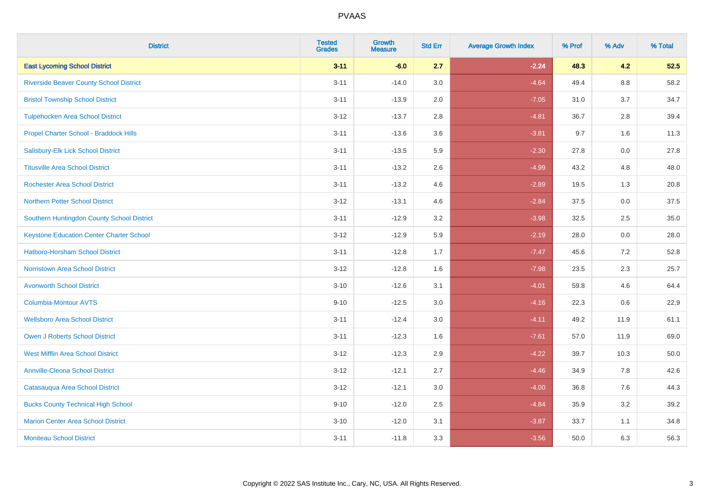| <b>District</b>                                 | <b>Tested</b><br><b>Grades</b> | <b>Growth</b><br><b>Measure</b> | <b>Std Err</b> | <b>Average Growth Index</b> | % Prof | % Adv   | % Total |
|-------------------------------------------------|--------------------------------|---------------------------------|----------------|-----------------------------|--------|---------|---------|
| <b>East Lycoming School District</b>            | $3 - 11$                       | $-6.0$                          | 2.7            | $-2.24$                     | 48.3   | 4.2     | 52.5    |
| <b>Riverside Beaver County School District</b>  | $3 - 11$                       | $-14.0$                         | 3.0            | $-4.64$                     | 49.4   | $8.8\,$ | 58.2    |
| <b>Bristol Township School District</b>         | $3 - 11$                       | $-13.9$                         | 2.0            | $-7.05$                     | 31.0   | 3.7     | 34.7    |
| <b>Tulpehocken Area School District</b>         | $3 - 12$                       | $-13.7$                         | 2.8            | $-4.81$                     | 36.7   | 2.8     | 39.4    |
| Propel Charter School - Braddock Hills          | $3 - 11$                       | $-13.6$                         | 3.6            | $-3.81$                     | 9.7    | 1.6     | 11.3    |
| Salisbury-Elk Lick School District              | $3 - 11$                       | $-13.5$                         | 5.9            | $-2.30$                     | 27.8   | 0.0     | 27.8    |
| <b>Titusville Area School District</b>          | $3 - 11$                       | $-13.2$                         | 2.6            | $-4.99$                     | 43.2   | 4.8     | 48.0    |
| <b>Rochester Area School District</b>           | $3 - 11$                       | $-13.2$                         | 4.6            | $-2.89$                     | 19.5   | 1.3     | 20.8    |
| <b>Northern Potter School District</b>          | $3 - 12$                       | $-13.1$                         | 4.6            | $-2.84$                     | 37.5   | 0.0     | 37.5    |
| Southern Huntingdon County School District      | $3 - 11$                       | $-12.9$                         | 3.2            | $-3.98$                     | 32.5   | $2.5\,$ | 35.0    |
| <b>Keystone Education Center Charter School</b> | $3 - 12$                       | $-12.9$                         | 5.9            | $-2.19$                     | 28.0   | 0.0     | 28.0    |
| <b>Hatboro-Horsham School District</b>          | $3 - 11$                       | $-12.8$                         | 1.7            | $-7.47$                     | 45.6   | 7.2     | 52.8    |
| <b>Norristown Area School District</b>          | $3 - 12$                       | $-12.8$                         | 1.6            | $-7.98$                     | 23.5   | 2.3     | 25.7    |
| <b>Avonworth School District</b>                | $3 - 10$                       | $-12.6$                         | 3.1            | $-4.01$                     | 59.8   | 4.6     | 64.4    |
| <b>Columbia-Montour AVTS</b>                    | $9 - 10$                       | $-12.5$                         | 3.0            | $-4.16$                     | 22.3   | 0.6     | 22.9    |
| <b>Wellsboro Area School District</b>           | $3 - 11$                       | $-12.4$                         | 3.0            | $-4.11$                     | 49.2   | 11.9    | 61.1    |
| <b>Owen J Roberts School District</b>           | $3 - 11$                       | $-12.3$                         | 1.6            | $-7.61$                     | 57.0   | 11.9    | 69.0    |
| <b>West Mifflin Area School District</b>        | $3 - 12$                       | $-12.3$                         | 2.9            | $-4.22$                     | 39.7   | 10.3    | 50.0    |
| <b>Annville-Cleona School District</b>          | $3 - 12$                       | $-12.1$                         | 2.7            | $-4.46$                     | 34.9   | 7.8     | 42.6    |
| Catasauqua Area School District                 | $3 - 12$                       | $-12.1$                         | 3.0            | $-4.00$                     | 36.8   | 7.6     | 44.3    |
| <b>Bucks County Technical High School</b>       | $9 - 10$                       | $-12.0$                         | 2.5            | $-4.84$                     | 35.9   | 3.2     | 39.2    |
| <b>Marion Center Area School District</b>       | $3 - 10$                       | $-12.0$                         | 3.1            | $-3.87$                     | 33.7   | 1.1     | 34.8    |
| <b>Moniteau School District</b>                 | $3 - 11$                       | $-11.8$                         | 3.3            | $-3.56$                     | 50.0   | 6.3     | 56.3    |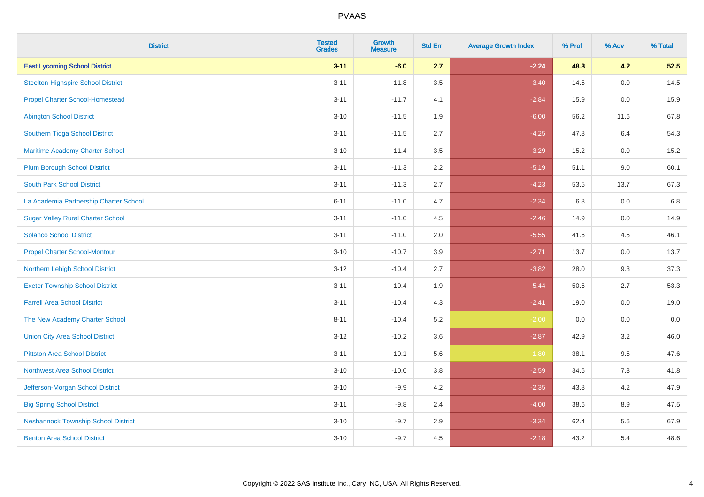| <b>District</b>                            | <b>Tested</b><br><b>Grades</b> | <b>Growth</b><br><b>Measure</b> | <b>Std Err</b> | <b>Average Growth Index</b> | % Prof | % Adv   | % Total |
|--------------------------------------------|--------------------------------|---------------------------------|----------------|-----------------------------|--------|---------|---------|
| <b>East Lycoming School District</b>       | $3 - 11$                       | $-6.0$                          | 2.7            | $-2.24$                     | 48.3   | 4.2     | 52.5    |
| <b>Steelton-Highspire School District</b>  | $3 - 11$                       | $-11.8$                         | 3.5            | $-3.40$                     | 14.5   | 0.0     | 14.5    |
| <b>Propel Charter School-Homestead</b>     | $3 - 11$                       | $-11.7$                         | 4.1            | $-2.84$                     | 15.9   | 0.0     | 15.9    |
| <b>Abington School District</b>            | $3 - 10$                       | $-11.5$                         | 1.9            | $-6.00$                     | 56.2   | 11.6    | 67.8    |
| Southern Tioga School District             | $3 - 11$                       | $-11.5$                         | 2.7            | $-4.25$                     | 47.8   | 6.4     | 54.3    |
| Maritime Academy Charter School            | $3 - 10$                       | $-11.4$                         | 3.5            | $-3.29$                     | 15.2   | 0.0     | 15.2    |
| <b>Plum Borough School District</b>        | $3 - 11$                       | $-11.3$                         | 2.2            | $-5.19$                     | 51.1   | 9.0     | 60.1    |
| <b>South Park School District</b>          | $3 - 11$                       | $-11.3$                         | 2.7            | $-4.23$                     | 53.5   | 13.7    | 67.3    |
| La Academia Partnership Charter School     | $6 - 11$                       | $-11.0$                         | 4.7            | $-2.34$                     | 6.8    | 0.0     | 6.8     |
| <b>Sugar Valley Rural Charter School</b>   | $3 - 11$                       | $-11.0$                         | 4.5            | $-2.46$                     | 14.9   | 0.0     | 14.9    |
| <b>Solanco School District</b>             | $3 - 11$                       | $-11.0$                         | 2.0            | $-5.55$                     | 41.6   | 4.5     | 46.1    |
| <b>Propel Charter School-Montour</b>       | $3 - 10$                       | $-10.7$                         | 3.9            | $-2.71$                     | 13.7   | 0.0     | 13.7    |
| Northern Lehigh School District            | $3 - 12$                       | $-10.4$                         | 2.7            | $-3.82$                     | 28.0   | 9.3     | 37.3    |
| <b>Exeter Township School District</b>     | $3 - 11$                       | $-10.4$                         | 1.9            | $-5.44$                     | 50.6   | 2.7     | 53.3    |
| <b>Farrell Area School District</b>        | $3 - 11$                       | $-10.4$                         | 4.3            | $-2.41$                     | 19.0   | 0.0     | 19.0    |
| The New Academy Charter School             | $8 - 11$                       | $-10.4$                         | 5.2            | $-2.00$                     | 0.0    | $0.0\,$ | $0.0\,$ |
| <b>Union City Area School District</b>     | $3 - 12$                       | $-10.2$                         | 3.6            | $-2.87$                     | 42.9   | 3.2     | 46.0    |
| <b>Pittston Area School District</b>       | $3 - 11$                       | $-10.1$                         | 5.6            | $-1.80$                     | 38.1   | 9.5     | 47.6    |
| <b>Northwest Area School District</b>      | $3 - 10$                       | $-10.0$                         | 3.8            | $-2.59$                     | 34.6   | $7.3$   | 41.8    |
| Jefferson-Morgan School District           | $3 - 10$                       | $-9.9$                          | 4.2            | $-2.35$                     | 43.8   | 4.2     | 47.9    |
| <b>Big Spring School District</b>          | $3 - 11$                       | $-9.8$                          | 2.4            | $-4.00$                     | 38.6   | 8.9     | 47.5    |
| <b>Neshannock Township School District</b> | $3 - 10$                       | $-9.7$                          | 2.9            | $-3.34$                     | 62.4   | 5.6     | 67.9    |
| <b>Benton Area School District</b>         | $3 - 10$                       | $-9.7$                          | 4.5            | $-2.18$                     | 43.2   | 5.4     | 48.6    |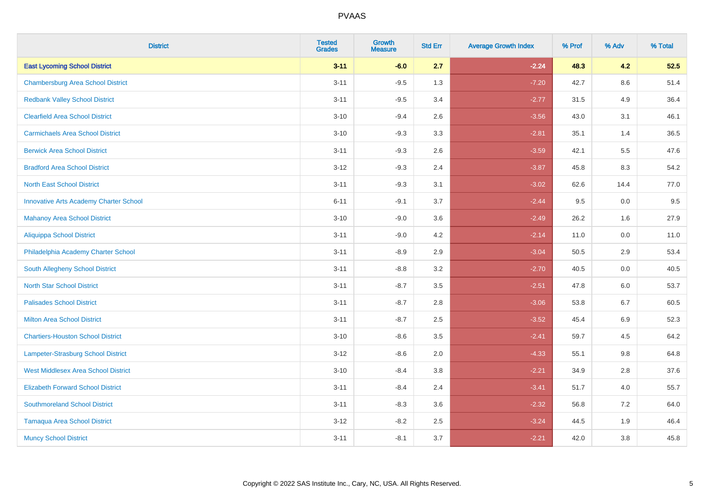| <b>District</b>                               | <b>Tested</b><br><b>Grades</b> | <b>Growth</b><br><b>Measure</b> | <b>Std Err</b> | <b>Average Growth Index</b> | % Prof | % Adv   | % Total |
|-----------------------------------------------|--------------------------------|---------------------------------|----------------|-----------------------------|--------|---------|---------|
| <b>East Lycoming School District</b>          | $3 - 11$                       | $-6.0$                          | 2.7            | $-2.24$                     | 48.3   | 4.2     | 52.5    |
| <b>Chambersburg Area School District</b>      | $3 - 11$                       | $-9.5$                          | 1.3            | $-7.20$                     | 42.7   | $8.6\,$ | 51.4    |
| <b>Redbank Valley School District</b>         | $3 - 11$                       | $-9.5$                          | 3.4            | $-2.77$                     | 31.5   | 4.9     | 36.4    |
| <b>Clearfield Area School District</b>        | $3 - 10$                       | $-9.4$                          | 2.6            | $-3.56$                     | 43.0   | 3.1     | 46.1    |
| <b>Carmichaels Area School District</b>       | $3 - 10$                       | $-9.3$                          | 3.3            | $-2.81$                     | 35.1   | 1.4     | 36.5    |
| <b>Berwick Area School District</b>           | $3 - 11$                       | $-9.3$                          | 2.6            | $-3.59$                     | 42.1   | 5.5     | 47.6    |
| <b>Bradford Area School District</b>          | $3 - 12$                       | $-9.3$                          | 2.4            | $-3.87$                     | 45.8   | 8.3     | 54.2    |
| <b>North East School District</b>             | $3 - 11$                       | $-9.3$                          | 3.1            | $-3.02$                     | 62.6   | 14.4    | 77.0    |
| <b>Innovative Arts Academy Charter School</b> | $6 - 11$                       | $-9.1$                          | 3.7            | $-2.44$                     | 9.5    | 0.0     | 9.5     |
| <b>Mahanoy Area School District</b>           | $3 - 10$                       | $-9.0$                          | 3.6            | $-2.49$                     | 26.2   | 1.6     | 27.9    |
| <b>Aliquippa School District</b>              | $3 - 11$                       | $-9.0$                          | 4.2            | $-2.14$                     | 11.0   | 0.0     | 11.0    |
| Philadelphia Academy Charter School           | $3 - 11$                       | $-8.9$                          | 2.9            | $-3.04$                     | 50.5   | 2.9     | 53.4    |
| <b>South Allegheny School District</b>        | $3 - 11$                       | $-8.8$                          | 3.2            | $-2.70$                     | 40.5   | 0.0     | 40.5    |
| <b>North Star School District</b>             | $3 - 11$                       | $-8.7$                          | 3.5            | $-2.51$                     | 47.8   | 6.0     | 53.7    |
| <b>Palisades School District</b>              | $3 - 11$                       | $-8.7$                          | 2.8            | $-3.06$                     | 53.8   | 6.7     | 60.5    |
| <b>Milton Area School District</b>            | $3 - 11$                       | $-8.7$                          | 2.5            | $-3.52$                     | 45.4   | 6.9     | 52.3    |
| <b>Chartiers-Houston School District</b>      | $3 - 10$                       | $-8.6$                          | 3.5            | $-2.41$                     | 59.7   | 4.5     | 64.2    |
| Lampeter-Strasburg School District            | $3 - 12$                       | $-8.6$                          | 2.0            | $-4.33$                     | 55.1   | 9.8     | 64.8    |
| <b>West Middlesex Area School District</b>    | $3 - 10$                       | $-8.4$                          | 3.8            | $-2.21$                     | 34.9   | 2.8     | 37.6    |
| <b>Elizabeth Forward School District</b>      | $3 - 11$                       | $-8.4$                          | 2.4            | $-3.41$                     | 51.7   | 4.0     | 55.7    |
| <b>Southmoreland School District</b>          | $3 - 11$                       | $-8.3$                          | 3.6            | $-2.32$                     | 56.8   | 7.2     | 64.0    |
| <b>Tamaqua Area School District</b>           | $3 - 12$                       | $-8.2$                          | 2.5            | $-3.24$                     | 44.5   | 1.9     | 46.4    |
| <b>Muncy School District</b>                  | $3 - 11$                       | $-8.1$                          | 3.7            | $-2.21$                     | 42.0   | 3.8     | 45.8    |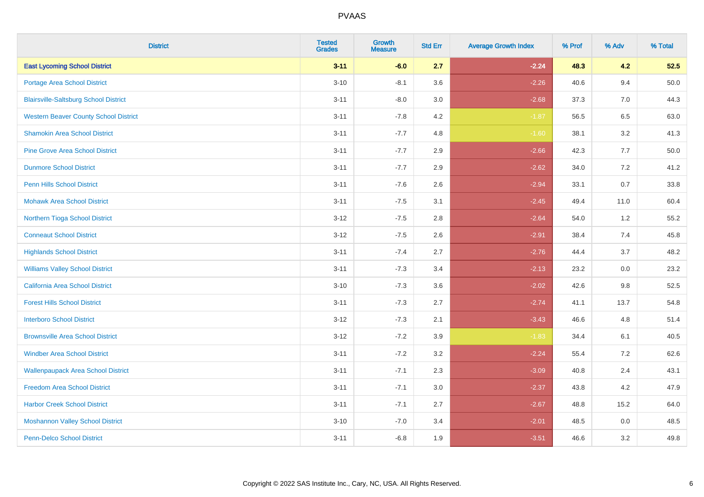| <b>District</b>                              | <b>Tested</b><br><b>Grades</b> | <b>Growth</b><br><b>Measure</b> | <b>Std Err</b> | <b>Average Growth Index</b> | % Prof | % Adv | % Total  |
|----------------------------------------------|--------------------------------|---------------------------------|----------------|-----------------------------|--------|-------|----------|
| <b>East Lycoming School District</b>         | $3 - 11$                       | $-6.0$                          | 2.7            | $-2.24$                     | 48.3   | 4.2   | 52.5     |
| <b>Portage Area School District</b>          | $3 - 10$                       | $-8.1$                          | 3.6            | $-2.26$                     | 40.6   | 9.4   | $50.0\,$ |
| <b>Blairsville-Saltsburg School District</b> | $3 - 11$                       | $-8.0$                          | 3.0            | $-2.68$                     | 37.3   | 7.0   | 44.3     |
| <b>Western Beaver County School District</b> | $3 - 11$                       | $-7.8$                          | 4.2            | $-1.87$                     | 56.5   | 6.5   | 63.0     |
| <b>Shamokin Area School District</b>         | $3 - 11$                       | $-7.7$                          | 4.8            | $-1.60$                     | 38.1   | 3.2   | 41.3     |
| <b>Pine Grove Area School District</b>       | $3 - 11$                       | $-7.7$                          | 2.9            | $-2.66$                     | 42.3   | 7.7   | $50.0\,$ |
| <b>Dunmore School District</b>               | $3 - 11$                       | $-7.7$                          | 2.9            | $-2.62$                     | 34.0   | 7.2   | 41.2     |
| <b>Penn Hills School District</b>            | $3 - 11$                       | $-7.6$                          | 2.6            | $-2.94$                     | 33.1   | 0.7   | 33.8     |
| <b>Mohawk Area School District</b>           | $3 - 11$                       | $-7.5$                          | 3.1            | $-2.45$                     | 49.4   | 11.0  | 60.4     |
| Northern Tioga School District               | $3 - 12$                       | $-7.5$                          | 2.8            | $-2.64$                     | 54.0   | 1.2   | 55.2     |
| <b>Conneaut School District</b>              | $3 - 12$                       | $-7.5$                          | 2.6            | $-2.91$                     | 38.4   | 7.4   | 45.8     |
| <b>Highlands School District</b>             | $3 - 11$                       | $-7.4$                          | 2.7            | $-2.76$                     | 44.4   | 3.7   | 48.2     |
| <b>Williams Valley School District</b>       | $3 - 11$                       | $-7.3$                          | 3.4            | $-2.13$                     | 23.2   | 0.0   | 23.2     |
| <b>California Area School District</b>       | $3 - 10$                       | $-7.3$                          | 3.6            | $-2.02$                     | 42.6   | 9.8   | 52.5     |
| <b>Forest Hills School District</b>          | $3 - 11$                       | $-7.3$                          | 2.7            | $-2.74$                     | 41.1   | 13.7  | 54.8     |
| <b>Interboro School District</b>             | $3 - 12$                       | $-7.3$                          | 2.1            | $-3.43$                     | 46.6   | 4.8   | 51.4     |
| <b>Brownsville Area School District</b>      | $3 - 12$                       | $-7.2$                          | 3.9            | $-1.83$                     | 34.4   | 6.1   | 40.5     |
| <b>Windber Area School District</b>          | $3 - 11$                       | $-7.2$                          | 3.2            | $-2.24$                     | 55.4   | 7.2   | 62.6     |
| <b>Wallenpaupack Area School District</b>    | $3 - 11$                       | $-7.1$                          | 2.3            | $-3.09$                     | 40.8   | 2.4   | 43.1     |
| <b>Freedom Area School District</b>          | $3 - 11$                       | $-7.1$                          | 3.0            | $-2.37$                     | 43.8   | 4.2   | 47.9     |
| <b>Harbor Creek School District</b>          | $3 - 11$                       | $-7.1$                          | 2.7            | $-2.67$                     | 48.8   | 15.2  | 64.0     |
| <b>Moshannon Valley School District</b>      | $3 - 10$                       | $-7.0$                          | 3.4            | $-2.01$                     | 48.5   | 0.0   | 48.5     |
| <b>Penn-Delco School District</b>            | $3 - 11$                       | $-6.8$                          | 1.9            | $-3.51$                     | 46.6   | 3.2   | 49.8     |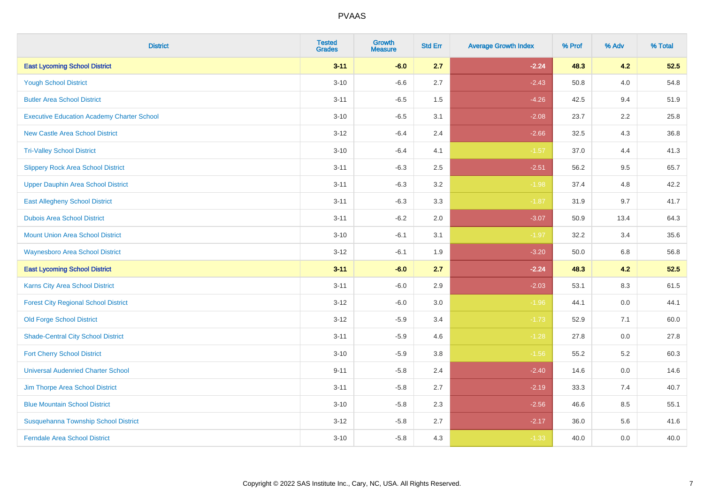| <b>District</b>                                   | <b>Tested</b><br><b>Grades</b> | <b>Growth</b><br><b>Measure</b> | <b>Std Err</b> | <b>Average Growth Index</b> | % Prof | % Adv | % Total |
|---------------------------------------------------|--------------------------------|---------------------------------|----------------|-----------------------------|--------|-------|---------|
| <b>East Lycoming School District</b>              | $3 - 11$                       | $-6.0$                          | 2.7            | $-2.24$                     | 48.3   | 4.2   | 52.5    |
| <b>Yough School District</b>                      | $3 - 10$                       | $-6.6$                          | 2.7            | $-2.43$                     | 50.8   | 4.0   | 54.8    |
| <b>Butler Area School District</b>                | $3 - 11$                       | $-6.5$                          | 1.5            | $-4.26$                     | 42.5   | 9.4   | 51.9    |
| <b>Executive Education Academy Charter School</b> | $3 - 10$                       | $-6.5$                          | 3.1            | $-2.08$                     | 23.7   | 2.2   | 25.8    |
| <b>New Castle Area School District</b>            | $3 - 12$                       | $-6.4$                          | 2.4            | $-2.66$                     | 32.5   | 4.3   | 36.8    |
| <b>Tri-Valley School District</b>                 | $3 - 10$                       | $-6.4$                          | 4.1            | $-1.57$                     | 37.0   | 4.4   | 41.3    |
| <b>Slippery Rock Area School District</b>         | $3 - 11$                       | $-6.3$                          | 2.5            | $-2.51$                     | 56.2   | 9.5   | 65.7    |
| <b>Upper Dauphin Area School District</b>         | $3 - 11$                       | $-6.3$                          | 3.2            | $-1.98$                     | 37.4   | 4.8   | 42.2    |
| <b>East Allegheny School District</b>             | $3 - 11$                       | $-6.3$                          | 3.3            | $-1.87$                     | 31.9   | 9.7   | 41.7    |
| <b>Dubois Area School District</b>                | $3 - 11$                       | $-6.2$                          | 2.0            | $-3.07$                     | 50.9   | 13.4  | 64.3    |
| <b>Mount Union Area School District</b>           | $3 - 10$                       | $-6.1$                          | 3.1            | $-1.97$                     | 32.2   | 3.4   | 35.6    |
| <b>Waynesboro Area School District</b>            | $3 - 12$                       | $-6.1$                          | 1.9            | $-3.20$                     | 50.0   | 6.8   | 56.8    |
| <b>East Lycoming School District</b>              | $3 - 11$                       | $-6.0$                          | 2.7            | $-2.24$                     | 48.3   | 4.2   | 52.5    |
| Karns City Area School District                   | $3 - 11$                       | $-6.0$                          | 2.9            | $-2.03$                     | 53.1   | 8.3   | 61.5    |
| <b>Forest City Regional School District</b>       | $3 - 12$                       | $-6.0$                          | 3.0            | $-1.96$                     | 44.1   | 0.0   | 44.1    |
| <b>Old Forge School District</b>                  | $3 - 12$                       | $-5.9$                          | 3.4            | $-1.73$                     | 52.9   | 7.1   | 60.0    |
| <b>Shade-Central City School District</b>         | $3 - 11$                       | $-5.9$                          | 4.6            | $-1.28$                     | 27.8   | 0.0   | 27.8    |
| <b>Fort Cherry School District</b>                | $3 - 10$                       | $-5.9$                          | 3.8            | $-1.56$                     | 55.2   | 5.2   | 60.3    |
| <b>Universal Audenried Charter School</b>         | $9 - 11$                       | $-5.8$                          | 2.4            | $-2.40$                     | 14.6   | 0.0   | 14.6    |
| Jim Thorpe Area School District                   | $3 - 11$                       | $-5.8$                          | 2.7            | $-2.19$                     | 33.3   | 7.4   | 40.7    |
| <b>Blue Mountain School District</b>              | $3 - 10$                       | $-5.8$                          | 2.3            | $-2.56$                     | 46.6   | 8.5   | 55.1    |
| Susquehanna Township School District              | $3 - 12$                       | $-5.8$                          | 2.7            | $-2.17$                     | 36.0   | 5.6   | 41.6    |
| <b>Ferndale Area School District</b>              | $3 - 10$                       | $-5.8$                          | 4.3            | $-1.33$                     | 40.0   | 0.0   | 40.0    |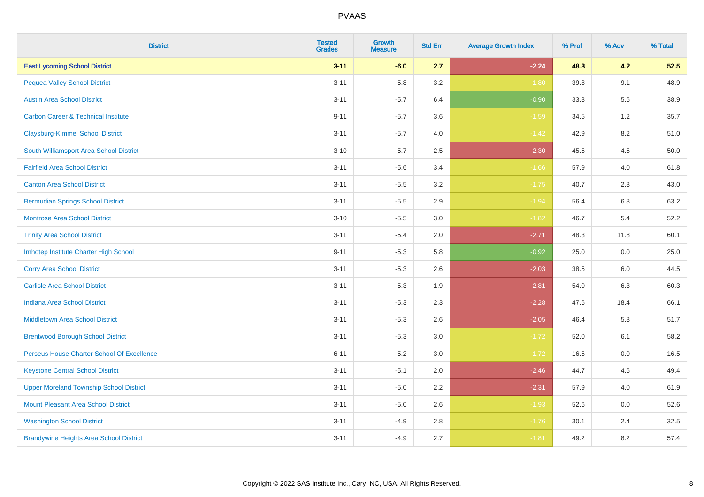| <b>District</b>                                | <b>Tested</b><br><b>Grades</b> | <b>Growth</b><br><b>Measure</b> | <b>Std Err</b> | <b>Average Growth Index</b> | % Prof | % Adv | % Total |
|------------------------------------------------|--------------------------------|---------------------------------|----------------|-----------------------------|--------|-------|---------|
| <b>East Lycoming School District</b>           | $3 - 11$                       | $-6.0$                          | 2.7            | $-2.24$                     | 48.3   | 4.2   | 52.5    |
| <b>Pequea Valley School District</b>           | $3 - 11$                       | $-5.8$                          | 3.2            | $-1.80$                     | 39.8   | 9.1   | 48.9    |
| <b>Austin Area School District</b>             | $3 - 11$                       | $-5.7$                          | 6.4            | $-0.90$                     | 33.3   | 5.6   | 38.9    |
| <b>Carbon Career &amp; Technical Institute</b> | $9 - 11$                       | $-5.7$                          | 3.6            | $-1.59$                     | 34.5   | 1.2   | 35.7    |
| <b>Claysburg-Kimmel School District</b>        | $3 - 11$                       | $-5.7$                          | 4.0            | $-1.42$                     | 42.9   | 8.2   | 51.0    |
| South Williamsport Area School District        | $3 - 10$                       | $-5.7$                          | 2.5            | $-2.30$                     | 45.5   | 4.5   | 50.0    |
| <b>Fairfield Area School District</b>          | $3 - 11$                       | $-5.6$                          | 3.4            | $-1.66$                     | 57.9   | 4.0   | 61.8    |
| <b>Canton Area School District</b>             | $3 - 11$                       | $-5.5$                          | 3.2            | $-1.75$                     | 40.7   | 2.3   | 43.0    |
| <b>Bermudian Springs School District</b>       | $3 - 11$                       | $-5.5$                          | 2.9            | $-1.94$                     | 56.4   | 6.8   | 63.2    |
| <b>Montrose Area School District</b>           | $3 - 10$                       | $-5.5$                          | 3.0            | $-1.82$                     | 46.7   | 5.4   | 52.2    |
| <b>Trinity Area School District</b>            | $3 - 11$                       | $-5.4$                          | 2.0            | $-2.71$                     | 48.3   | 11.8  | 60.1    |
| Imhotep Institute Charter High School          | $9 - 11$                       | $-5.3$                          | 5.8            | $-0.92$                     | 25.0   | 0.0   | 25.0    |
| <b>Corry Area School District</b>              | $3 - 11$                       | $-5.3$                          | 2.6            | $-2.03$                     | 38.5   | 6.0   | 44.5    |
| <b>Carlisle Area School District</b>           | $3 - 11$                       | $-5.3$                          | 1.9            | $-2.81$                     | 54.0   | 6.3   | 60.3    |
| <b>Indiana Area School District</b>            | $3 - 11$                       | $-5.3$                          | 2.3            | $-2.28$                     | 47.6   | 18.4  | 66.1    |
| <b>Middletown Area School District</b>         | $3 - 11$                       | $-5.3$                          | 2.6            | $-2.05$                     | 46.4   | 5.3   | 51.7    |
| <b>Brentwood Borough School District</b>       | $3 - 11$                       | $-5.3$                          | 3.0            | $-1.72$                     | 52.0   | 6.1   | 58.2    |
| Perseus House Charter School Of Excellence     | $6 - 11$                       | $-5.2$                          | 3.0            | $-1.72$                     | 16.5   | 0.0   | 16.5    |
| <b>Keystone Central School District</b>        | $3 - 11$                       | $-5.1$                          | 2.0            | $-2.46$                     | 44.7   | 4.6   | 49.4    |
| <b>Upper Moreland Township School District</b> | $3 - 11$                       | $-5.0$                          | 2.2            | $-2.31$                     | 57.9   | 4.0   | 61.9    |
| <b>Mount Pleasant Area School District</b>     | $3 - 11$                       | $-5.0$                          | 2.6            | $-1.93$                     | 52.6   | 0.0   | 52.6    |
| <b>Washington School District</b>              | $3 - 11$                       | $-4.9$                          | 2.8            | $-1.76$                     | 30.1   | 2.4   | 32.5    |
| <b>Brandywine Heights Area School District</b> | $3 - 11$                       | $-4.9$                          | 2.7            | $-1.81$                     | 49.2   | 8.2   | 57.4    |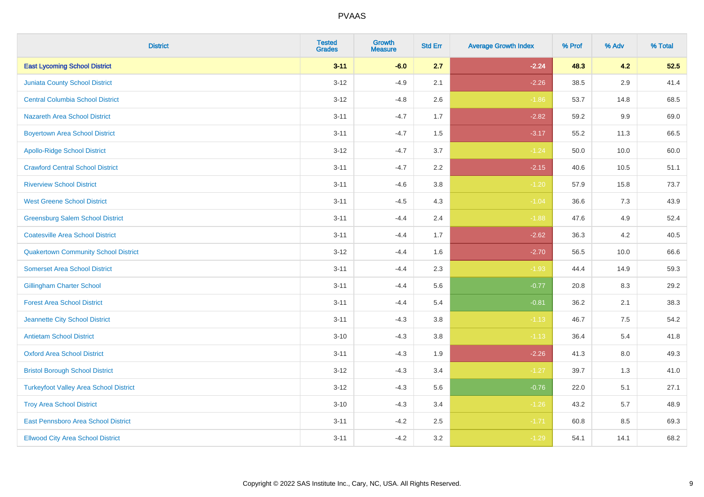| <b>District</b>                               | <b>Tested</b><br><b>Grades</b> | <b>Growth</b><br><b>Measure</b> | <b>Std Err</b> | <b>Average Growth Index</b> | % Prof | % Adv   | % Total |
|-----------------------------------------------|--------------------------------|---------------------------------|----------------|-----------------------------|--------|---------|---------|
| <b>East Lycoming School District</b>          | $3 - 11$                       | $-6.0$                          | 2.7            | $-2.24$                     | 48.3   | 4.2     | 52.5    |
| <b>Juniata County School District</b>         | $3 - 12$                       | $-4.9$                          | 2.1            | $-2.26$                     | 38.5   | 2.9     | 41.4    |
| <b>Central Columbia School District</b>       | $3 - 12$                       | $-4.8$                          | 2.6            | $-1.86$                     | 53.7   | 14.8    | 68.5    |
| <b>Nazareth Area School District</b>          | $3 - 11$                       | $-4.7$                          | 1.7            | $-2.82$                     | 59.2   | $9.9\,$ | 69.0    |
| <b>Boyertown Area School District</b>         | $3 - 11$                       | $-4.7$                          | 1.5            | $-3.17$                     | 55.2   | 11.3    | 66.5    |
| <b>Apollo-Ridge School District</b>           | $3 - 12$                       | $-4.7$                          | 3.7            | $-1.24$                     | 50.0   | 10.0    | 60.0    |
| <b>Crawford Central School District</b>       | $3 - 11$                       | $-4.7$                          | 2.2            | $-2.15$                     | 40.6   | 10.5    | 51.1    |
| <b>Riverview School District</b>              | $3 - 11$                       | $-4.6$                          | 3.8            | $-1.20$                     | 57.9   | 15.8    | 73.7    |
| <b>West Greene School District</b>            | $3 - 11$                       | $-4.5$                          | 4.3            | $-1.04$                     | 36.6   | 7.3     | 43.9    |
| <b>Greensburg Salem School District</b>       | $3 - 11$                       | $-4.4$                          | 2.4            | $-1.88$                     | 47.6   | 4.9     | 52.4    |
| <b>Coatesville Area School District</b>       | $3 - 11$                       | $-4.4$                          | 1.7            | $-2.62$                     | 36.3   | 4.2     | 40.5    |
| <b>Quakertown Community School District</b>   | $3 - 12$                       | $-4.4$                          | 1.6            | $-2.70$                     | 56.5   | 10.0    | 66.6    |
| <b>Somerset Area School District</b>          | $3 - 11$                       | $-4.4$                          | 2.3            | $-1.93$                     | 44.4   | 14.9    | 59.3    |
| <b>Gillingham Charter School</b>              | $3 - 11$                       | $-4.4$                          | 5.6            | $-0.77$                     | 20.8   | 8.3     | 29.2    |
| <b>Forest Area School District</b>            | $3 - 11$                       | $-4.4$                          | 5.4            | $-0.81$                     | 36.2   | 2.1     | 38.3    |
| Jeannette City School District                | $3 - 11$                       | $-4.3$                          | 3.8            | $-1.13$                     | 46.7   | $7.5\,$ | 54.2    |
| <b>Antietam School District</b>               | $3 - 10$                       | $-4.3$                          | 3.8            | $-1.13$                     | 36.4   | $5.4$   | 41.8    |
| <b>Oxford Area School District</b>            | $3 - 11$                       | $-4.3$                          | 1.9            | $-2.26$                     | 41.3   | 8.0     | 49.3    |
| <b>Bristol Borough School District</b>        | $3 - 12$                       | $-4.3$                          | 3.4            | $-1.27$                     | 39.7   | 1.3     | 41.0    |
| <b>Turkeyfoot Valley Area School District</b> | $3 - 12$                       | $-4.3$                          | 5.6            | $-0.76$                     | 22.0   | 5.1     | 27.1    |
| <b>Troy Area School District</b>              | $3 - 10$                       | $-4.3$                          | 3.4            | $-1.26$                     | 43.2   | 5.7     | 48.9    |
| East Pennsboro Area School District           | $3 - 11$                       | $-4.2$                          | 2.5            | $-1.71$                     | 60.8   | 8.5     | 69.3    |
| <b>Ellwood City Area School District</b>      | $3 - 11$                       | $-4.2$                          | 3.2            | $-1.29$                     | 54.1   | 14.1    | 68.2    |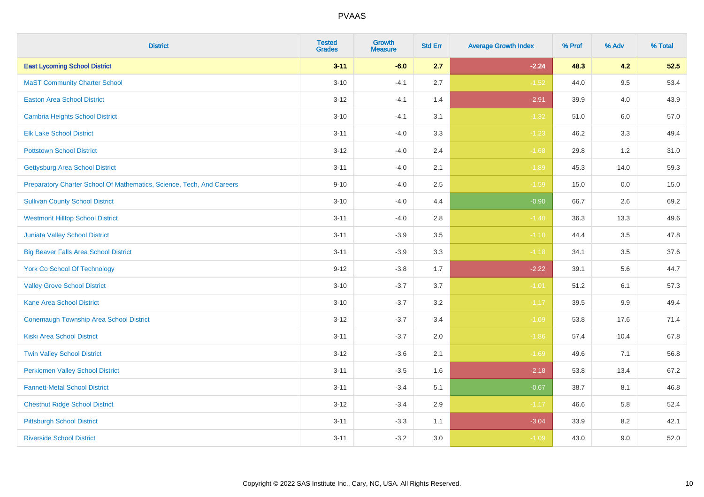| <b>District</b>                                                       | <b>Tested</b><br><b>Grades</b> | <b>Growth</b><br><b>Measure</b> | <b>Std Err</b> | <b>Average Growth Index</b> | % Prof | % Adv   | % Total |
|-----------------------------------------------------------------------|--------------------------------|---------------------------------|----------------|-----------------------------|--------|---------|---------|
| <b>East Lycoming School District</b>                                  | $3 - 11$                       | $-6.0$                          | 2.7            | $-2.24$                     | 48.3   | 4.2     | 52.5    |
| <b>MaST Community Charter School</b>                                  | $3 - 10$                       | $-4.1$                          | 2.7            | $-1.52$                     | 44.0   | 9.5     | 53.4    |
| <b>Easton Area School District</b>                                    | $3 - 12$                       | $-4.1$                          | 1.4            | $-2.91$                     | 39.9   | 4.0     | 43.9    |
| <b>Cambria Heights School District</b>                                | $3 - 10$                       | $-4.1$                          | 3.1            | $-1.32$                     | 51.0   | 6.0     | 57.0    |
| <b>Elk Lake School District</b>                                       | $3 - 11$                       | $-4.0$                          | 3.3            | $-1.23$                     | 46.2   | 3.3     | 49.4    |
| <b>Pottstown School District</b>                                      | $3 - 12$                       | $-4.0$                          | 2.4            | $-1.68$                     | 29.8   | 1.2     | 31.0    |
| <b>Gettysburg Area School District</b>                                | $3 - 11$                       | $-4.0$                          | 2.1            | $-1.89$                     | 45.3   | 14.0    | 59.3    |
| Preparatory Charter School Of Mathematics, Science, Tech, And Careers | $9 - 10$                       | $-4.0$                          | 2.5            | $-1.59$                     | 15.0   | 0.0     | 15.0    |
| <b>Sullivan County School District</b>                                | $3 - 10$                       | $-4.0$                          | 4.4            | $-0.90$                     | 66.7   | 2.6     | 69.2    |
| <b>Westmont Hilltop School District</b>                               | $3 - 11$                       | $-4.0$                          | 2.8            | $-1.40$                     | 36.3   | 13.3    | 49.6    |
| Juniata Valley School District                                        | $3 - 11$                       | $-3.9$                          | 3.5            | $-1.10$                     | 44.4   | 3.5     | 47.8    |
| <b>Big Beaver Falls Area School District</b>                          | $3 - 11$                       | $-3.9$                          | 3.3            | $-1.18$                     | 34.1   | 3.5     | 37.6    |
| <b>York Co School Of Technology</b>                                   | $9 - 12$                       | $-3.8$                          | 1.7            | $-2.22$                     | 39.1   | 5.6     | 44.7    |
| <b>Valley Grove School District</b>                                   | $3 - 10$                       | $-3.7$                          | 3.7            | $-1.01$                     | 51.2   | 6.1     | 57.3    |
| <b>Kane Area School District</b>                                      | $3 - 10$                       | $-3.7$                          | 3.2            | $-1.17$                     | 39.5   | $9.9\,$ | 49.4    |
| <b>Conemaugh Township Area School District</b>                        | $3 - 12$                       | $-3.7$                          | 3.4            | $-1.09$                     | 53.8   | 17.6    | 71.4    |
| <b>Kiski Area School District</b>                                     | $3 - 11$                       | $-3.7$                          | 2.0            | $-1.86$                     | 57.4   | 10.4    | 67.8    |
| <b>Twin Valley School District</b>                                    | $3 - 12$                       | $-3.6$                          | 2.1            | $-1.69$                     | 49.6   | 7.1     | 56.8    |
| <b>Perkiomen Valley School District</b>                               | $3 - 11$                       | $-3.5$                          | 1.6            | $-2.18$                     | 53.8   | 13.4    | 67.2    |
| <b>Fannett-Metal School District</b>                                  | $3 - 11$                       | $-3.4$                          | 5.1            | $-0.67$                     | 38.7   | 8.1     | 46.8    |
| <b>Chestnut Ridge School District</b>                                 | $3 - 12$                       | $-3.4$                          | 2.9            | $-1.17$                     | 46.6   | 5.8     | 52.4    |
| <b>Pittsburgh School District</b>                                     | $3 - 11$                       | $-3.3$                          | 1.1            | $-3.04$                     | 33.9   | 8.2     | 42.1    |
| <b>Riverside School District</b>                                      | $3 - 11$                       | $-3.2$                          | 3.0            | $-1.09$                     | 43.0   | 9.0     | 52.0    |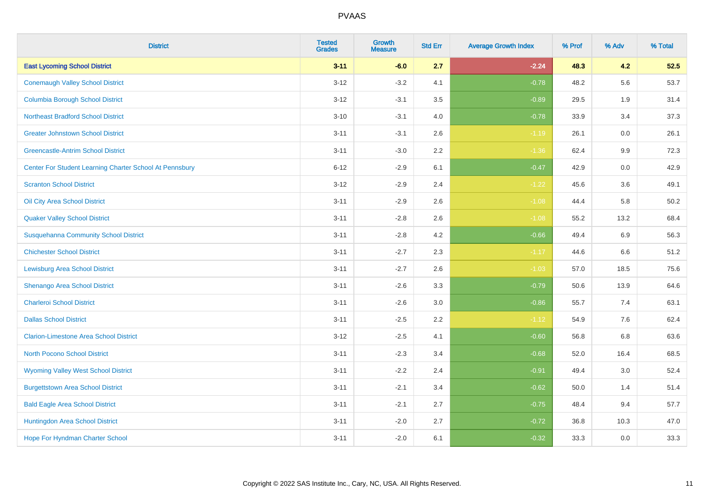| <b>District</b>                                         | <b>Tested</b><br><b>Grades</b> | <b>Growth</b><br><b>Measure</b> | <b>Std Err</b> | <b>Average Growth Index</b> | % Prof | % Adv   | % Total |
|---------------------------------------------------------|--------------------------------|---------------------------------|----------------|-----------------------------|--------|---------|---------|
| <b>East Lycoming School District</b>                    | $3 - 11$                       | $-6.0$                          | 2.7            | $-2.24$                     | 48.3   | 4.2     | 52.5    |
| <b>Conemaugh Valley School District</b>                 | $3 - 12$                       | $-3.2$                          | 4.1            | $-0.78$                     | 48.2   | 5.6     | 53.7    |
| <b>Columbia Borough School District</b>                 | $3 - 12$                       | $-3.1$                          | 3.5            | $-0.89$                     | 29.5   | 1.9     | 31.4    |
| <b>Northeast Bradford School District</b>               | $3 - 10$                       | $-3.1$                          | $4.0\,$        | $-0.78$                     | 33.9   | 3.4     | 37.3    |
| <b>Greater Johnstown School District</b>                | $3 - 11$                       | $-3.1$                          | 2.6            | $-1.19$                     | 26.1   | 0.0     | 26.1    |
| <b>Greencastle-Antrim School District</b>               | $3 - 11$                       | $-3.0$                          | 2.2            | $-1.36$                     | 62.4   | $9.9\,$ | 72.3    |
| Center For Student Learning Charter School At Pennsbury | $6 - 12$                       | $-2.9$                          | 6.1            | $-0.47$                     | 42.9   | $0.0\,$ | 42.9    |
| <b>Scranton School District</b>                         | $3 - 12$                       | $-2.9$                          | 2.4            | $-1.22$                     | 45.6   | 3.6     | 49.1    |
| Oil City Area School District                           | $3 - 11$                       | $-2.9$                          | 2.6            | $-1.08$                     | 44.4   | 5.8     | 50.2    |
| <b>Quaker Valley School District</b>                    | $3 - 11$                       | $-2.8$                          | $2.6\,$        | $-1.08$                     | 55.2   | 13.2    | 68.4    |
| <b>Susquehanna Community School District</b>            | $3 - 11$                       | $-2.8$                          | 4.2            | $-0.66$                     | 49.4   | 6.9     | 56.3    |
| <b>Chichester School District</b>                       | $3 - 11$                       | $-2.7$                          | 2.3            | $-1.17$                     | 44.6   | 6.6     | 51.2    |
| <b>Lewisburg Area School District</b>                   | $3 - 11$                       | $-2.7$                          | 2.6            | $-1.03$                     | 57.0   | 18.5    | 75.6    |
| Shenango Area School District                           | $3 - 11$                       | $-2.6$                          | 3.3            | $-0.79$                     | 50.6   | 13.9    | 64.6    |
| <b>Charleroi School District</b>                        | $3 - 11$                       | $-2.6$                          | 3.0            | $-0.86$                     | 55.7   | 7.4     | 63.1    |
| <b>Dallas School District</b>                           | $3 - 11$                       | $-2.5$                          | 2.2            | $-1.12$                     | 54.9   | 7.6     | 62.4    |
| <b>Clarion-Limestone Area School District</b>           | $3 - 12$                       | $-2.5$                          | 4.1            | $-0.60$                     | 56.8   | 6.8     | 63.6    |
| North Pocono School District                            | $3 - 11$                       | $-2.3$                          | 3.4            | $-0.68$                     | 52.0   | 16.4    | 68.5    |
| <b>Wyoming Valley West School District</b>              | $3 - 11$                       | $-2.2$                          | 2.4            | $-0.91$                     | 49.4   | 3.0     | 52.4    |
| <b>Burgettstown Area School District</b>                | $3 - 11$                       | $-2.1$                          | 3.4            | $-0.62$                     | 50.0   | 1.4     | 51.4    |
| <b>Bald Eagle Area School District</b>                  | $3 - 11$                       | $-2.1$                          | 2.7            | $-0.75$                     | 48.4   | 9.4     | 57.7    |
| Huntingdon Area School District                         | $3 - 11$                       | $-2.0$                          | 2.7            | $-0.72$                     | 36.8   | 10.3    | 47.0    |
| Hope For Hyndman Charter School                         | $3 - 11$                       | $-2.0$                          | 6.1            | $-0.32$                     | 33.3   | 0.0     | 33.3    |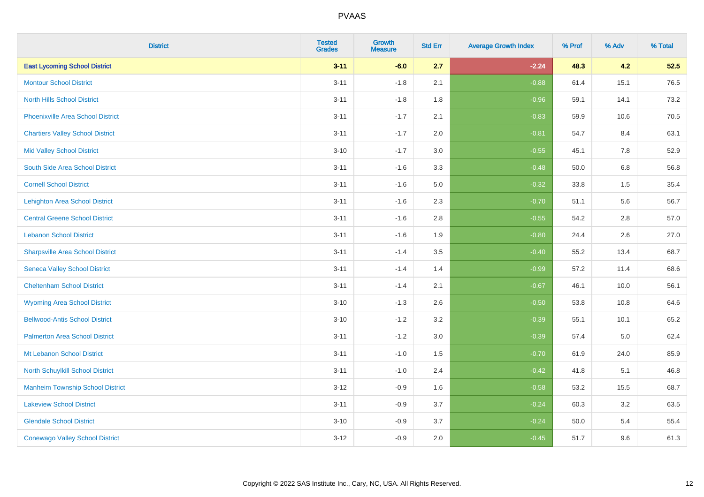| <b>District</b>                          | <b>Tested</b><br><b>Grades</b> | <b>Growth</b><br><b>Measure</b> | <b>Std Err</b> | <b>Average Growth Index</b> | % Prof | % Adv   | % Total |
|------------------------------------------|--------------------------------|---------------------------------|----------------|-----------------------------|--------|---------|---------|
| <b>East Lycoming School District</b>     | $3 - 11$                       | $-6.0$                          | 2.7            | $-2.24$                     | 48.3   | 4.2     | 52.5    |
| <b>Montour School District</b>           | $3 - 11$                       | $-1.8$                          | 2.1            | $-0.88$                     | 61.4   | 15.1    | 76.5    |
| <b>North Hills School District</b>       | $3 - 11$                       | $-1.8$                          | 1.8            | $-0.96$                     | 59.1   | 14.1    | 73.2    |
| <b>Phoenixville Area School District</b> | $3 - 11$                       | $-1.7$                          | 2.1            | $-0.83$                     | 59.9   | 10.6    | 70.5    |
| <b>Chartiers Valley School District</b>  | $3 - 11$                       | $-1.7$                          | 2.0            | $-0.81$                     | 54.7   | 8.4     | 63.1    |
| <b>Mid Valley School District</b>        | $3 - 10$                       | $-1.7$                          | 3.0            | $-0.55$                     | 45.1   | 7.8     | 52.9    |
| South Side Area School District          | $3 - 11$                       | $-1.6$                          | 3.3            | $-0.48$                     | 50.0   | 6.8     | 56.8    |
| <b>Cornell School District</b>           | $3 - 11$                       | $-1.6$                          | 5.0            | $-0.32$                     | 33.8   | 1.5     | 35.4    |
| <b>Lehighton Area School District</b>    | $3 - 11$                       | $-1.6$                          | 2.3            | $-0.70$                     | 51.1   | 5.6     | 56.7    |
| <b>Central Greene School District</b>    | $3 - 11$                       | $-1.6$                          | 2.8            | $-0.55$                     | 54.2   | $2.8\,$ | 57.0    |
| <b>Lebanon School District</b>           | $3 - 11$                       | $-1.6$                          | 1.9            | $-0.80$                     | 24.4   | 2.6     | 27.0    |
| <b>Sharpsville Area School District</b>  | $3 - 11$                       | $-1.4$                          | 3.5            | $-0.40$                     | 55.2   | 13.4    | 68.7    |
| <b>Seneca Valley School District</b>     | $3 - 11$                       | $-1.4$                          | 1.4            | $-0.99$                     | 57.2   | 11.4    | 68.6    |
| <b>Cheltenham School District</b>        | $3 - 11$                       | $-1.4$                          | 2.1            | $-0.67$                     | 46.1   | 10.0    | 56.1    |
| <b>Wyoming Area School District</b>      | $3 - 10$                       | $-1.3$                          | 2.6            | $-0.50$                     | 53.8   | 10.8    | 64.6    |
| <b>Bellwood-Antis School District</b>    | $3 - 10$                       | $-1.2$                          | 3.2            | $-0.39$                     | 55.1   | 10.1    | 65.2    |
| <b>Palmerton Area School District</b>    | $3 - 11$                       | $-1.2$                          | 3.0            | $-0.39$                     | 57.4   | $5.0\,$ | 62.4    |
| Mt Lebanon School District               | $3 - 11$                       | $-1.0$                          | 1.5            | $-0.70$                     | 61.9   | 24.0    | 85.9    |
| <b>North Schuylkill School District</b>  | $3 - 11$                       | $-1.0$                          | 2.4            | $-0.42$                     | 41.8   | 5.1     | 46.8    |
| <b>Manheim Township School District</b>  | $3 - 12$                       | $-0.9$                          | 1.6            | $-0.58$                     | 53.2   | 15.5    | 68.7    |
| <b>Lakeview School District</b>          | $3 - 11$                       | $-0.9$                          | 3.7            | $-0.24$                     | 60.3   | 3.2     | 63.5    |
| <b>Glendale School District</b>          | $3 - 10$                       | $-0.9$                          | 3.7            | $-0.24$                     | 50.0   | 5.4     | 55.4    |
| <b>Conewago Valley School District</b>   | $3 - 12$                       | $-0.9$                          | 2.0            | $-0.45$                     | 51.7   | 9.6     | 61.3    |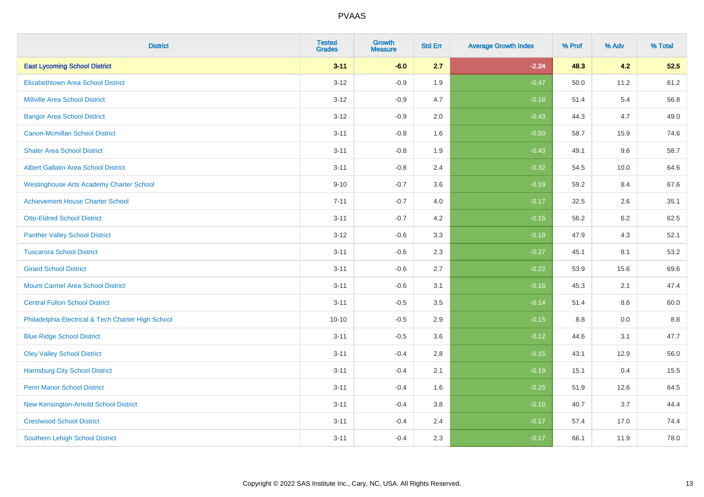| <b>District</b>                                    | <b>Tested</b><br><b>Grades</b> | <b>Growth</b><br><b>Measure</b> | <b>Std Err</b> | <b>Average Growth Index</b> | % Prof | % Adv   | % Total |
|----------------------------------------------------|--------------------------------|---------------------------------|----------------|-----------------------------|--------|---------|---------|
| <b>East Lycoming School District</b>               | $3 - 11$                       | $-6.0$                          | 2.7            | $-2.24$                     | 48.3   | 4.2     | 52.5    |
| <b>Elizabethtown Area School District</b>          | $3 - 12$                       | $-0.9$                          | 1.9            | $-0.47$                     | 50.0   | 11.2    | 61.2    |
| <b>Millville Area School District</b>              | $3 - 12$                       | $-0.9$                          | 4.7            | $-0.18$                     | 51.4   | 5.4     | 56.8    |
| <b>Bangor Area School District</b>                 | $3 - 12$                       | $-0.9$                          | 2.0            | $-0.43$                     | 44.3   | 4.7     | 49.0    |
| <b>Canon-Mcmillan School District</b>              | $3 - 11$                       | $-0.8$                          | 1.6            | $-0.50$                     | 58.7   | 15.9    | 74.6    |
| <b>Shaler Area School District</b>                 | $3 - 11$                       | $-0.8$                          | 1.9            | $-0.43$                     | 49.1   | 9.6     | 58.7    |
| <b>Albert Gallatin Area School District</b>        | $3 - 11$                       | $-0.8$                          | 2.4            | $-0.32$                     | 54.5   | 10.0    | 64.6    |
| <b>Westinghouse Arts Academy Charter School</b>    | $9 - 10$                       | $-0.7$                          | 3.6            | $-0.19$                     | 59.2   | 8.4     | 67.6    |
| <b>Achievement House Charter School</b>            | $7 - 11$                       | $-0.7$                          | 4.0            | $-0.17$                     | 32.5   | 2.6     | 35.1    |
| <b>Otto-Eldred School District</b>                 | $3 - 11$                       | $-0.7$                          | 4.2            | $-0.15$                     | 56.2   | $6.2\,$ | 62.5    |
| <b>Panther Valley School District</b>              | $3 - 12$                       | $-0.6$                          | 3.3            | $-0.19$                     | 47.9   | 4.3     | 52.1    |
| <b>Tuscarora School District</b>                   | $3 - 11$                       | $-0.6$                          | 2.3            | $-0.27$                     | 45.1   | 8.1     | 53.2    |
| <b>Girard School District</b>                      | $3 - 11$                       | $-0.6$                          | 2.7            | $-0.22$                     | 53.9   | 15.6    | 69.6    |
| <b>Mount Carmel Area School District</b>           | $3 - 11$                       | $-0.6$                          | 3.1            | $-0.18$                     | 45.3   | 2.1     | 47.4    |
| <b>Central Fulton School District</b>              | $3 - 11$                       | $-0.5$                          | 3.5            | $-0.14$                     | 51.4   | 8.6     | 60.0    |
| Philadelphia Electrical & Tech Charter High School | $10 - 10$                      | $-0.5$                          | 2.9            | $-0.15$                     | 8.8    | 0.0     | 8.8     |
| <b>Blue Ridge School District</b>                  | $3 - 11$                       | $-0.5$                          | 3.6            | $-0.12$                     | 44.6   | 3.1     | 47.7    |
| <b>Oley Valley School District</b>                 | $3 - 11$                       | $-0.4$                          | 2.8            | $-0.15$                     | 43.1   | 12.9    | 56.0    |
| <b>Harrisburg City School District</b>             | $3 - 11$                       | $-0.4$                          | 2.1            | $-0.19$                     | 15.1   | 0.4     | 15.5    |
| <b>Penn Manor School District</b>                  | $3 - 11$                       | $-0.4$                          | 1.6            | $-0.25$                     | 51.9   | 12.6    | 64.5    |
| New Kensington-Arnold School District              | $3 - 11$                       | $-0.4$                          | 3.8            | $-0.10$                     | 40.7   | 3.7     | 44.4    |
| <b>Crestwood School District</b>                   | $3 - 11$                       | $-0.4$                          | 2.4            | $-0.17$                     | 57.4   | 17.0    | 74.4    |
| <b>Southern Lehigh School District</b>             | $3 - 11$                       | $-0.4$                          | 2.3            | $-0.17$                     | 66.1   | 11.9    | 78.0    |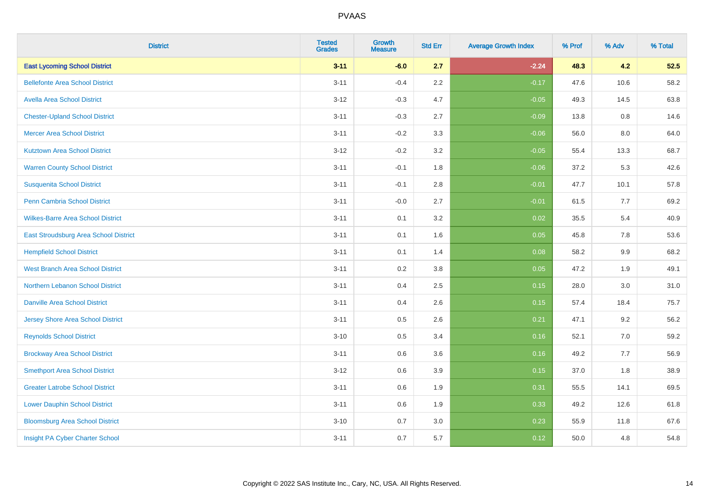| <b>District</b>                          | <b>Tested</b><br><b>Grades</b> | <b>Growth</b><br><b>Measure</b> | <b>Std Err</b> | <b>Average Growth Index</b> | % Prof | % Adv | % Total |
|------------------------------------------|--------------------------------|---------------------------------|----------------|-----------------------------|--------|-------|---------|
| <b>East Lycoming School District</b>     | $3 - 11$                       | $-6.0$                          | 2.7            | $-2.24$                     | 48.3   | 4.2   | 52.5    |
| <b>Bellefonte Area School District</b>   | $3 - 11$                       | $-0.4$                          | 2.2            | $-0.17$                     | 47.6   | 10.6  | 58.2    |
| <b>Avella Area School District</b>       | $3 - 12$                       | $-0.3$                          | 4.7            | $-0.05$                     | 49.3   | 14.5  | 63.8    |
| <b>Chester-Upland School District</b>    | $3 - 11$                       | $-0.3$                          | 2.7            | $-0.09$                     | 13.8   | 0.8   | 14.6    |
| <b>Mercer Area School District</b>       | $3 - 11$                       | $-0.2$                          | 3.3            | $-0.06$                     | 56.0   | 8.0   | 64.0    |
| <b>Kutztown Area School District</b>     | $3 - 12$                       | $-0.2$                          | 3.2            | $-0.05$                     | 55.4   | 13.3  | 68.7    |
| <b>Warren County School District</b>     | $3 - 11$                       | $-0.1$                          | 1.8            | $-0.06$                     | 37.2   | 5.3   | 42.6    |
| <b>Susquenita School District</b>        | $3 - 11$                       | $-0.1$                          | 2.8            | $-0.01$                     | 47.7   | 10.1  | 57.8    |
| <b>Penn Cambria School District</b>      | $3 - 11$                       | $-0.0$                          | 2.7            | $-0.01$                     | 61.5   | 7.7   | 69.2    |
| <b>Wilkes-Barre Area School District</b> | $3 - 11$                       | 0.1                             | 3.2            | 0.02                        | 35.5   | 5.4   | 40.9    |
| East Stroudsburg Area School District    | $3 - 11$                       | 0.1                             | 1.6            | 0.05                        | 45.8   | 7.8   | 53.6    |
| <b>Hempfield School District</b>         | $3 - 11$                       | 0.1                             | 1.4            | 0.08                        | 58.2   | 9.9   | 68.2    |
| <b>West Branch Area School District</b>  | $3 - 11$                       | 0.2                             | 3.8            | 0.05                        | 47.2   | 1.9   | 49.1    |
| Northern Lebanon School District         | $3 - 11$                       | 0.4                             | 2.5            | 0.15                        | 28.0   | 3.0   | 31.0    |
| <b>Danville Area School District</b>     | $3 - 11$                       | 0.4                             | 2.6            | 0.15                        | 57.4   | 18.4  | 75.7    |
| <b>Jersey Shore Area School District</b> | $3 - 11$                       | 0.5                             | 2.6            | 0.21                        | 47.1   | 9.2   | 56.2    |
| <b>Reynolds School District</b>          | $3 - 10$                       | 0.5                             | 3.4            | 0.16                        | 52.1   | 7.0   | 59.2    |
| <b>Brockway Area School District</b>     | $3 - 11$                       | 0.6                             | 3.6            | 0.16                        | 49.2   | 7.7   | 56.9    |
| <b>Smethport Area School District</b>    | $3 - 12$                       | 0.6                             | 3.9            | 0.15                        | 37.0   | 1.8   | 38.9    |
| <b>Greater Latrobe School District</b>   | $3 - 11$                       | 0.6                             | 1.9            | 0.31                        | 55.5   | 14.1  | 69.5    |
| <b>Lower Dauphin School District</b>     | $3 - 11$                       | 0.6                             | 1.9            | 0.33                        | 49.2   | 12.6  | 61.8    |
| <b>Bloomsburg Area School District</b>   | $3 - 10$                       | 0.7                             | 3.0            | 0.23                        | 55.9   | 11.8  | 67.6    |
| Insight PA Cyber Charter School          | $3 - 11$                       | 0.7                             | 5.7            | 0.12                        | 50.0   | 4.8   | 54.8    |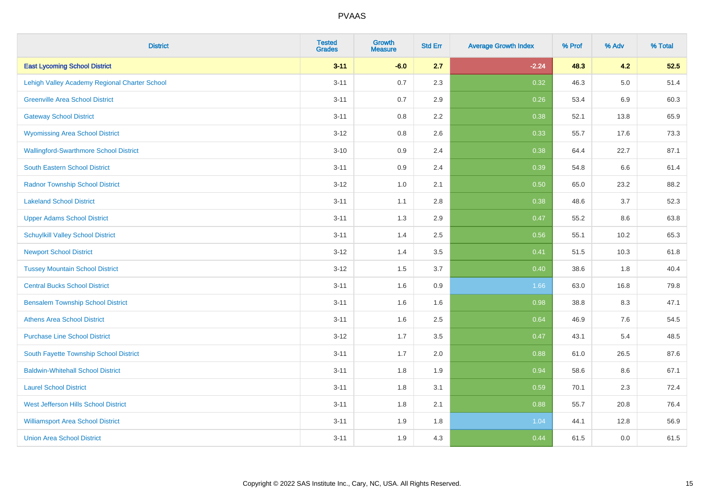| <b>District</b>                               | <b>Tested</b><br><b>Grades</b> | <b>Growth</b><br><b>Measure</b> | <b>Std Err</b> | <b>Average Growth Index</b> | % Prof | % Adv   | % Total |
|-----------------------------------------------|--------------------------------|---------------------------------|----------------|-----------------------------|--------|---------|---------|
| <b>East Lycoming School District</b>          | $3 - 11$                       | $-6.0$                          | 2.7            | $-2.24$                     | 48.3   | 4.2     | 52.5    |
| Lehigh Valley Academy Regional Charter School | $3 - 11$                       | 0.7                             | 2.3            | 0.32                        | 46.3   | $5.0\,$ | 51.4    |
| <b>Greenville Area School District</b>        | $3 - 11$                       | 0.7                             | 2.9            | 0.26                        | 53.4   | 6.9     | 60.3    |
| <b>Gateway School District</b>                | $3 - 11$                       | 0.8                             | 2.2            | 0.38                        | 52.1   | 13.8    | 65.9    |
| <b>Wyomissing Area School District</b>        | $3 - 12$                       | 0.8                             | 2.6            | 0.33                        | 55.7   | 17.6    | 73.3    |
| <b>Wallingford-Swarthmore School District</b> | $3 - 10$                       | 0.9                             | 2.4            | 0.38                        | 64.4   | 22.7    | 87.1    |
| South Eastern School District                 | $3 - 11$                       | 0.9                             | 2.4            | 0.39                        | 54.8   | 6.6     | 61.4    |
| <b>Radnor Township School District</b>        | $3 - 12$                       | 1.0                             | 2.1            | 0.50                        | 65.0   | 23.2    | 88.2    |
| <b>Lakeland School District</b>               | $3 - 11$                       | 1.1                             | 2.8            | 0.38                        | 48.6   | 3.7     | 52.3    |
| <b>Upper Adams School District</b>            | $3 - 11$                       | 1.3                             | 2.9            | 0.47                        | 55.2   | 8.6     | 63.8    |
| <b>Schuylkill Valley School District</b>      | $3 - 11$                       | 1.4                             | 2.5            | 0.56                        | 55.1   | 10.2    | 65.3    |
| <b>Newport School District</b>                | $3 - 12$                       | 1.4                             | 3.5            | 0.41                        | 51.5   | 10.3    | 61.8    |
| <b>Tussey Mountain School District</b>        | $3 - 12$                       | 1.5                             | 3.7            | 0.40                        | 38.6   | 1.8     | 40.4    |
| <b>Central Bucks School District</b>          | $3 - 11$                       | 1.6                             | 0.9            | 1.66                        | 63.0   | 16.8    | 79.8    |
| <b>Bensalem Township School District</b>      | $3 - 11$                       | 1.6                             | 1.6            | 0.98                        | 38.8   | 8.3     | 47.1    |
| <b>Athens Area School District</b>            | $3 - 11$                       | 1.6                             | 2.5            | 0.64                        | 46.9   | $7.6\,$ | 54.5    |
| <b>Purchase Line School District</b>          | $3 - 12$                       | 1.7                             | 3.5            | 0.47                        | 43.1   | 5.4     | 48.5    |
| South Fayette Township School District        | $3 - 11$                       | 1.7                             | 2.0            | 0.88                        | 61.0   | 26.5    | 87.6    |
| <b>Baldwin-Whitehall School District</b>      | $3 - 11$                       | 1.8                             | 1.9            | 0.94                        | 58.6   | 8.6     | 67.1    |
| <b>Laurel School District</b>                 | $3 - 11$                       | 1.8                             | 3.1            | 0.59                        | 70.1   | 2.3     | 72.4    |
| <b>West Jefferson Hills School District</b>   | $3 - 11$                       | 1.8                             | 2.1            | 0.88                        | 55.7   | 20.8    | 76.4    |
| <b>Williamsport Area School District</b>      | $3 - 11$                       | 1.9                             | 1.8            | 1.04                        | 44.1   | 12.8    | 56.9    |
| <b>Union Area School District</b>             | $3 - 11$                       | 1.9                             | 4.3            | 0.44                        | 61.5   | 0.0     | 61.5    |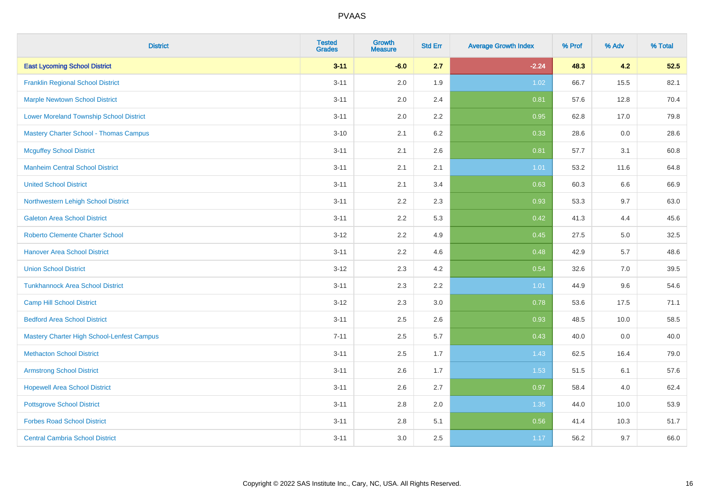| <b>District</b>                                | <b>Tested</b><br><b>Grades</b> | <b>Growth</b><br><b>Measure</b> | <b>Std Err</b> | <b>Average Growth Index</b> | % Prof | % Adv | % Total |
|------------------------------------------------|--------------------------------|---------------------------------|----------------|-----------------------------|--------|-------|---------|
| <b>East Lycoming School District</b>           | $3 - 11$                       | $-6.0$                          | 2.7            | $-2.24$                     | 48.3   | 4.2   | 52.5    |
| <b>Franklin Regional School District</b>       | $3 - 11$                       | 2.0                             | 1.9            | 1.02                        | 66.7   | 15.5  | 82.1    |
| <b>Marple Newtown School District</b>          | $3 - 11$                       | 2.0                             | 2.4            | 0.81                        | 57.6   | 12.8  | 70.4    |
| <b>Lower Moreland Township School District</b> | $3 - 11$                       | 2.0                             | 2.2            | 0.95                        | 62.8   | 17.0  | 79.8    |
| <b>Mastery Charter School - Thomas Campus</b>  | $3 - 10$                       | 2.1                             | 6.2            | 0.33                        | 28.6   | 0.0   | 28.6    |
| <b>Mcguffey School District</b>                | $3 - 11$                       | 2.1                             | 2.6            | 0.81                        | 57.7   | 3.1   | 60.8    |
| <b>Manheim Central School District</b>         | $3 - 11$                       | 2.1                             | 2.1            | 1.01                        | 53.2   | 11.6  | 64.8    |
| <b>United School District</b>                  | $3 - 11$                       | 2.1                             | 3.4            | 0.63                        | 60.3   | 6.6   | 66.9    |
| Northwestern Lehigh School District            | $3 - 11$                       | 2.2                             | 2.3            | 0.93                        | 53.3   | 9.7   | 63.0    |
| <b>Galeton Area School District</b>            | $3 - 11$                       | 2.2                             | 5.3            | 0.42                        | 41.3   | 4.4   | 45.6    |
| <b>Roberto Clemente Charter School</b>         | $3 - 12$                       | 2.2                             | 4.9            | 0.45                        | 27.5   | 5.0   | 32.5    |
| <b>Hanover Area School District</b>            | $3 - 11$                       | 2.2                             | 4.6            | 0.48                        | 42.9   | 5.7   | 48.6    |
| <b>Union School District</b>                   | $3 - 12$                       | 2.3                             | 4.2            | 0.54                        | 32.6   | 7.0   | 39.5    |
| <b>Tunkhannock Area School District</b>        | $3 - 11$                       | 2.3                             | 2.2            | 1.01                        | 44.9   | 9.6   | 54.6    |
| <b>Camp Hill School District</b>               | $3 - 12$                       | 2.3                             | 3.0            | 0.78                        | 53.6   | 17.5  | 71.1    |
| <b>Bedford Area School District</b>            | $3 - 11$                       | 2.5                             | 2.6            | 0.93                        | 48.5   | 10.0  | 58.5    |
| Mastery Charter High School-Lenfest Campus     | $7 - 11$                       | 2.5                             | 5.7            | 0.43                        | 40.0   | 0.0   | 40.0    |
| <b>Methacton School District</b>               | $3 - 11$                       | 2.5                             | 1.7            | 1.43                        | 62.5   | 16.4  | 79.0    |
| <b>Armstrong School District</b>               | $3 - 11$                       | 2.6                             | 1.7            | 1.53                        | 51.5   | 6.1   | 57.6    |
| <b>Hopewell Area School District</b>           | $3 - 11$                       | 2.6                             | 2.7            | 0.97                        | 58.4   | 4.0   | 62.4    |
| <b>Pottsgrove School District</b>              | $3 - 11$                       | 2.8                             | 2.0            | 1.35                        | 44.0   | 10.0  | 53.9    |
| <b>Forbes Road School District</b>             | $3 - 11$                       | 2.8                             | 5.1            | 0.56                        | 41.4   | 10.3  | 51.7    |
| <b>Central Cambria School District</b>         | $3 - 11$                       | 3.0                             | 2.5            | 1.17                        | 56.2   | 9.7   | 66.0    |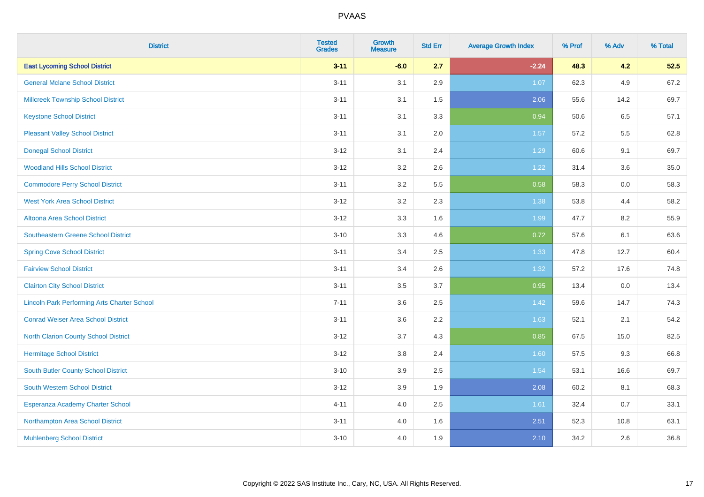| <b>District</b>                                    | <b>Tested</b><br><b>Grades</b> | <b>Growth</b><br><b>Measure</b> | <b>Std Err</b> | <b>Average Growth Index</b> | % Prof | % Adv | % Total |
|----------------------------------------------------|--------------------------------|---------------------------------|----------------|-----------------------------|--------|-------|---------|
| <b>East Lycoming School District</b>               | $3 - 11$                       | $-6.0$                          | 2.7            | $-2.24$                     | 48.3   | 4.2   | 52.5    |
| <b>General Mclane School District</b>              | $3 - 11$                       | 3.1                             | 2.9            | 1.07                        | 62.3   | 4.9   | 67.2    |
| <b>Millcreek Township School District</b>          | $3 - 11$                       | 3.1                             | 1.5            | 2.06                        | 55.6   | 14.2  | 69.7    |
| <b>Keystone School District</b>                    | $3 - 11$                       | 3.1                             | 3.3            | 0.94                        | 50.6   | 6.5   | 57.1    |
| <b>Pleasant Valley School District</b>             | $3 - 11$                       | 3.1                             | 2.0            | 1.57                        | 57.2   | 5.5   | 62.8    |
| <b>Donegal School District</b>                     | $3 - 12$                       | 3.1                             | 2.4            | 1.29                        | 60.6   | 9.1   | 69.7    |
| <b>Woodland Hills School District</b>              | $3 - 12$                       | 3.2                             | 2.6            | 1.22                        | 31.4   | 3.6   | 35.0    |
| <b>Commodore Perry School District</b>             | $3 - 11$                       | 3.2                             | 5.5            | 0.58                        | 58.3   | 0.0   | 58.3    |
| <b>West York Area School District</b>              | $3 - 12$                       | 3.2                             | 2.3            | 1.38                        | 53.8   | 4.4   | 58.2    |
| Altoona Area School District                       | $3 - 12$                       | 3.3                             | 1.6            | 1.99                        | 47.7   | 8.2   | 55.9    |
| <b>Southeastern Greene School District</b>         | $3 - 10$                       | 3.3                             | 4.6            | 0.72                        | 57.6   | 6.1   | 63.6    |
| <b>Spring Cove School District</b>                 | $3 - 11$                       | 3.4                             | 2.5            | 1.33                        | 47.8   | 12.7  | 60.4    |
| <b>Fairview School District</b>                    | $3 - 11$                       | 3.4                             | 2.6            | 1.32                        | 57.2   | 17.6  | 74.8    |
| <b>Clairton City School District</b>               | $3 - 11$                       | 3.5                             | 3.7            | 0.95                        | 13.4   | 0.0   | 13.4    |
| <b>Lincoln Park Performing Arts Charter School</b> | $7 - 11$                       | 3.6                             | 2.5            | 1.42                        | 59.6   | 14.7  | 74.3    |
| <b>Conrad Weiser Area School District</b>          | $3 - 11$                       | 3.6                             | 2.2            | 1.63                        | 52.1   | 2.1   | 54.2    |
| <b>North Clarion County School District</b>        | $3 - 12$                       | 3.7                             | 4.3            | 0.85                        | 67.5   | 15.0  | 82.5    |
| <b>Hermitage School District</b>                   | $3 - 12$                       | 3.8                             | 2.4            | 1.60                        | 57.5   | 9.3   | 66.8    |
| <b>South Butler County School District</b>         | $3 - 10$                       | 3.9                             | 2.5            | 1.54                        | 53.1   | 16.6  | 69.7    |
| South Western School District                      | $3-12$                         | 3.9                             | 1.9            | 2.08                        | 60.2   | 8.1   | 68.3    |
| Esperanza Academy Charter School                   | $4 - 11$                       | 4.0                             | 2.5            | 1.61                        | 32.4   | 0.7   | 33.1    |
| Northampton Area School District                   | $3 - 11$                       | 4.0                             | 1.6            | 2.51                        | 52.3   | 10.8  | 63.1    |
| <b>Muhlenberg School District</b>                  | $3 - 10$                       | 4.0                             | 1.9            | 2.10                        | 34.2   | 2.6   | 36.8    |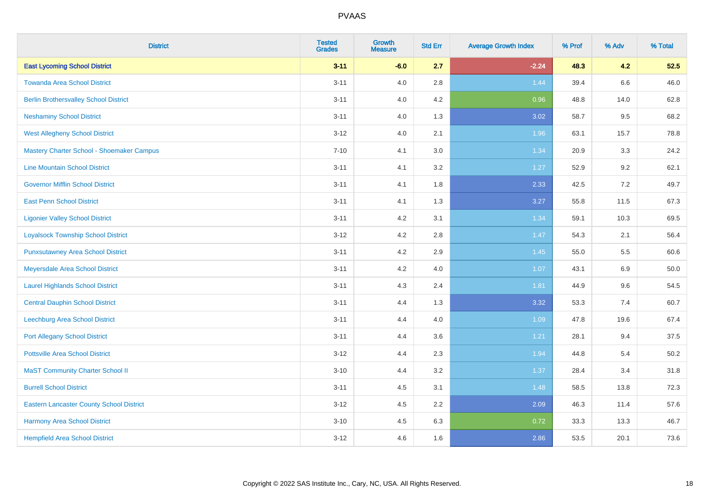| <b>District</b>                                 | <b>Tested</b><br><b>Grades</b> | <b>Growth</b><br><b>Measure</b> | <b>Std Err</b> | <b>Average Growth Index</b> | % Prof | % Adv | % Total |
|-------------------------------------------------|--------------------------------|---------------------------------|----------------|-----------------------------|--------|-------|---------|
| <b>East Lycoming School District</b>            | $3 - 11$                       | $-6.0$                          | 2.7            | $-2.24$                     | 48.3   | 4.2   | 52.5    |
| <b>Towanda Area School District</b>             | $3 - 11$                       | 4.0                             | 2.8            | 1.44                        | 39.4   | 6.6   | 46.0    |
| <b>Berlin Brothersvalley School District</b>    | $3 - 11$                       | 4.0                             | 4.2            | 0.96                        | 48.8   | 14.0  | 62.8    |
| <b>Neshaminy School District</b>                | $3 - 11$                       | 4.0                             | 1.3            | 3.02                        | 58.7   | 9.5   | 68.2    |
| <b>West Allegheny School District</b>           | $3 - 12$                       | 4.0                             | 2.1            | 1.96                        | 63.1   | 15.7  | 78.8    |
| Mastery Charter School - Shoemaker Campus       | $7 - 10$                       | 4.1                             | 3.0            | 1.34                        | 20.9   | 3.3   | 24.2    |
| <b>Line Mountain School District</b>            | $3 - 11$                       | 4.1                             | 3.2            | 1.27                        | 52.9   | 9.2   | 62.1    |
| <b>Governor Mifflin School District</b>         | $3 - 11$                       | 4.1                             | 1.8            | 2.33                        | 42.5   | 7.2   | 49.7    |
| <b>East Penn School District</b>                | $3 - 11$                       | 4.1                             | 1.3            | 3.27                        | 55.8   | 11.5  | 67.3    |
| <b>Ligonier Valley School District</b>          | $3 - 11$                       | 4.2                             | 3.1            | 1.34                        | 59.1   | 10.3  | 69.5    |
| <b>Loyalsock Township School District</b>       | $3 - 12$                       | 4.2                             | 2.8            | 1.47                        | 54.3   | 2.1   | 56.4    |
| <b>Punxsutawney Area School District</b>        | $3 - 11$                       | 4.2                             | 2.9            | 1.45                        | 55.0   | 5.5   | 60.6    |
| Meyersdale Area School District                 | $3 - 11$                       | 4.2                             | 4.0            | 1.07                        | 43.1   | 6.9   | 50.0    |
| <b>Laurel Highlands School District</b>         | $3 - 11$                       | 4.3                             | 2.4            | 1.81                        | 44.9   | 9.6   | 54.5    |
| <b>Central Dauphin School District</b>          | $3 - 11$                       | 4.4                             | 1.3            | 3.32                        | 53.3   | 7.4   | 60.7    |
| Leechburg Area School District                  | $3 - 11$                       | 4.4                             | 4.0            | 1.09                        | 47.8   | 19.6  | 67.4    |
| <b>Port Allegany School District</b>            | $3 - 11$                       | 4.4                             | 3.6            | 1.21                        | 28.1   | 9.4   | 37.5    |
| <b>Pottsville Area School District</b>          | $3 - 12$                       | 4.4                             | 2.3            | 1.94                        | 44.8   | 5.4   | 50.2    |
| <b>MaST Community Charter School II</b>         | $3 - 10$                       | 4.4                             | 3.2            | 1.37                        | 28.4   | 3.4   | 31.8    |
| <b>Burrell School District</b>                  | $3 - 11$                       | 4.5                             | 3.1            | 1.48                        | 58.5   | 13.8  | 72.3    |
| <b>Eastern Lancaster County School District</b> | $3-12$                         | 4.5                             | 2.2            | 2.09                        | 46.3   | 11.4  | 57.6    |
| <b>Harmony Area School District</b>             | $3 - 10$                       | 4.5                             | 6.3            | 0.72                        | 33.3   | 13.3  | 46.7    |
| <b>Hempfield Area School District</b>           | $3 - 12$                       | 4.6                             | 1.6            | 2.86                        | 53.5   | 20.1  | 73.6    |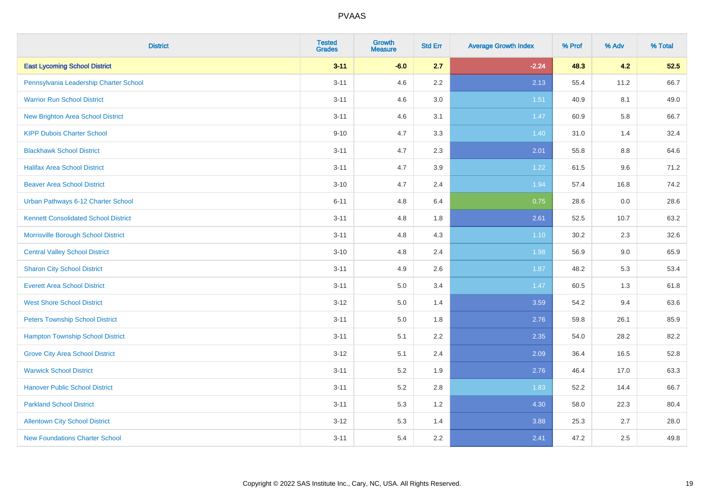| <b>District</b>                             | <b>Tested</b><br><b>Grades</b> | <b>Growth</b><br><b>Measure</b> | <b>Std Err</b> | <b>Average Growth Index</b> | % Prof | % Adv   | % Total |
|---------------------------------------------|--------------------------------|---------------------------------|----------------|-----------------------------|--------|---------|---------|
| <b>East Lycoming School District</b>        | $3 - 11$                       | $-6.0$                          | 2.7            | $-2.24$                     | 48.3   | 4.2     | 52.5    |
| Pennsylvania Leadership Charter School      | $3 - 11$                       | 4.6                             | 2.2            | 2.13                        | 55.4   | 11.2    | 66.7    |
| <b>Warrior Run School District</b>          | $3 - 11$                       | 4.6                             | 3.0            | 1.51                        | 40.9   | 8.1     | 49.0    |
| <b>New Brighton Area School District</b>    | $3 - 11$                       | 4.6                             | 3.1            | 1.47                        | 60.9   | 5.8     | 66.7    |
| <b>KIPP Dubois Charter School</b>           | $9 - 10$                       | 4.7                             | 3.3            | 1.40                        | 31.0   | 1.4     | 32.4    |
| <b>Blackhawk School District</b>            | $3 - 11$                       | 4.7                             | 2.3            | 2.01                        | 55.8   | $8.8\,$ | 64.6    |
| <b>Halifax Area School District</b>         | $3 - 11$                       | 4.7                             | 3.9            | 1.22                        | 61.5   | 9.6     | 71.2    |
| <b>Beaver Area School District</b>          | $3 - 10$                       | 4.7                             | 2.4            | 1.94                        | 57.4   | 16.8    | 74.2    |
| Urban Pathways 6-12 Charter School          | $6 - 11$                       | 4.8                             | 6.4            | 0.75                        | 28.6   | 0.0     | 28.6    |
| <b>Kennett Consolidated School District</b> | $3 - 11$                       | 4.8                             | 1.8            | 2.61                        | 52.5   | 10.7    | 63.2    |
| Morrisville Borough School District         | $3 - 11$                       | 4.8                             | 4.3            | $1.10$                      | 30.2   | 2.3     | 32.6    |
| <b>Central Valley School District</b>       | $3 - 10$                       | 4.8                             | 2.4            | 1.98                        | 56.9   | 9.0     | 65.9    |
| <b>Sharon City School District</b>          | $3 - 11$                       | 4.9                             | 2.6            | 1.87                        | 48.2   | 5.3     | 53.4    |
| <b>Everett Area School District</b>         | $3 - 11$                       | 5.0                             | 3.4            | 1.47                        | 60.5   | 1.3     | 61.8    |
| <b>West Shore School District</b>           | $3 - 12$                       | 5.0                             | 1.4            | 3.59                        | 54.2   | 9.4     | 63.6    |
| <b>Peters Township School District</b>      | $3 - 11$                       | 5.0                             | 1.8            | 2.76                        | 59.8   | 26.1    | 85.9    |
| <b>Hampton Township School District</b>     | $3 - 11$                       | 5.1                             | 2.2            | 2.35                        | 54.0   | 28.2    | 82.2    |
| <b>Grove City Area School District</b>      | $3 - 12$                       | 5.1                             | 2.4            | 2.09                        | 36.4   | 16.5    | 52.8    |
| <b>Warwick School District</b>              | $3 - 11$                       | 5.2                             | 1.9            | 2.76                        | 46.4   | 17.0    | 63.3    |
| <b>Hanover Public School District</b>       | $3 - 11$                       | 5.2                             | 2.8            | 1.83                        | 52.2   | 14.4    | 66.7    |
| <b>Parkland School District</b>             | $3 - 11$                       | 5.3                             | 1.2            | 4.30                        | 58.0   | 22.3    | 80.4    |
| <b>Allentown City School District</b>       | $3 - 12$                       | 5.3                             | 1.4            | 3.88                        | 25.3   | 2.7     | 28.0    |
| <b>New Foundations Charter School</b>       | $3 - 11$                       | 5.4                             | 2.2            | 2.41                        | 47.2   | 2.5     | 49.8    |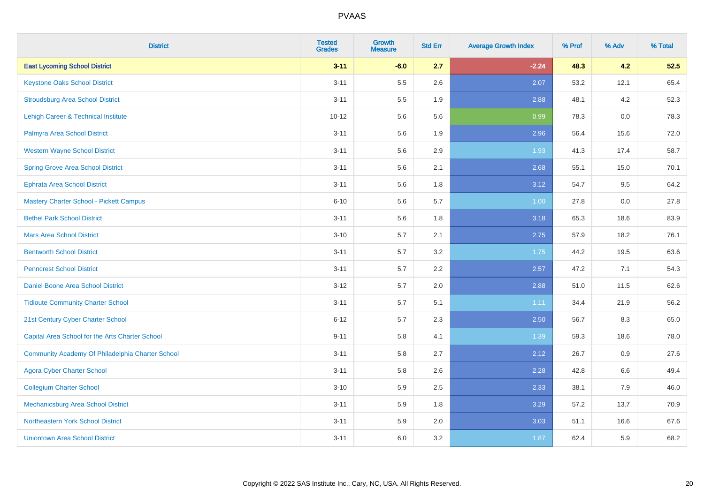| <b>District</b>                                  | <b>Tested</b><br><b>Grades</b> | <b>Growth</b><br><b>Measure</b> | <b>Std Err</b> | <b>Average Growth Index</b> | % Prof | % Adv | % Total |
|--------------------------------------------------|--------------------------------|---------------------------------|----------------|-----------------------------|--------|-------|---------|
| <b>East Lycoming School District</b>             | $3 - 11$                       | $-6.0$                          | 2.7            | $-2.24$                     | 48.3   | 4.2   | 52.5    |
| <b>Keystone Oaks School District</b>             | $3 - 11$                       | 5.5                             | 2.6            | 2.07                        | 53.2   | 12.1  | 65.4    |
| <b>Stroudsburg Area School District</b>          | $3 - 11$                       | $5.5\,$                         | 1.9            | 2.88                        | 48.1   | 4.2   | 52.3    |
| <b>Lehigh Career &amp; Technical Institute</b>   | $10 - 12$                      | 5.6                             | 5.6            | 0.99                        | 78.3   | 0.0   | 78.3    |
| Palmyra Area School District                     | $3 - 11$                       | 5.6                             | 1.9            | 2.96                        | 56.4   | 15.6  | 72.0    |
| <b>Western Wayne School District</b>             | $3 - 11$                       | 5.6                             | 2.9            | 1.93                        | 41.3   | 17.4  | 58.7    |
| <b>Spring Grove Area School District</b>         | $3 - 11$                       | 5.6                             | 2.1            | 2.68                        | 55.1   | 15.0  | 70.1    |
| <b>Ephrata Area School District</b>              | $3 - 11$                       | 5.6                             | 1.8            | 3.12                        | 54.7   | 9.5   | 64.2    |
| Mastery Charter School - Pickett Campus          | $6 - 10$                       | 5.6                             | 5.7            | 1.00                        | 27.8   | 0.0   | 27.8    |
| <b>Bethel Park School District</b>               | $3 - 11$                       | $5.6\,$                         | 1.8            | 3.18                        | 65.3   | 18.6  | 83.9    |
| <b>Mars Area School District</b>                 | $3 - 10$                       | 5.7                             | 2.1            | 2.75                        | 57.9   | 18.2  | 76.1    |
| <b>Bentworth School District</b>                 | $3 - 11$                       | 5.7                             | 3.2            | 1.75                        | 44.2   | 19.5  | 63.6    |
| <b>Penncrest School District</b>                 | $3 - 11$                       | 5.7                             | 2.2            | 2.57                        | 47.2   | 7.1   | 54.3    |
| Daniel Boone Area School District                | $3 - 12$                       | 5.7                             | 2.0            | 2.88                        | 51.0   | 11.5  | 62.6    |
| <b>Tidioute Community Charter School</b>         | $3 - 11$                       | 5.7                             | 5.1            | 1.11                        | 34.4   | 21.9  | 56.2    |
| 21st Century Cyber Charter School                | $6 - 12$                       | 5.7                             | 2.3            | 2.50                        | 56.7   | 8.3   | 65.0    |
| Capital Area School for the Arts Charter School  | $9 - 11$                       | 5.8                             | 4.1            | 1.39                        | 59.3   | 18.6  | 78.0    |
| Community Academy Of Philadelphia Charter School | $3 - 11$                       | 5.8                             | 2.7            | 2.12                        | 26.7   | 0.9   | 27.6    |
| <b>Agora Cyber Charter School</b>                | $3 - 11$                       | 5.8                             | 2.6            | 2.28                        | 42.8   | 6.6   | 49.4    |
| <b>Collegium Charter School</b>                  | $3 - 10$                       | 5.9                             | 2.5            | 2.33                        | 38.1   | 7.9   | 46.0    |
| Mechanicsburg Area School District               | $3 - 11$                       | 5.9                             | 1.8            | 3.29                        | 57.2   | 13.7  | 70.9    |
| Northeastern York School District                | $3 - 11$                       | 5.9                             | 2.0            | 3.03                        | 51.1   | 16.6  | 67.6    |
| <b>Uniontown Area School District</b>            | $3 - 11$                       | 6.0                             | 3.2            | 1.87                        | 62.4   | 5.9   | 68.2    |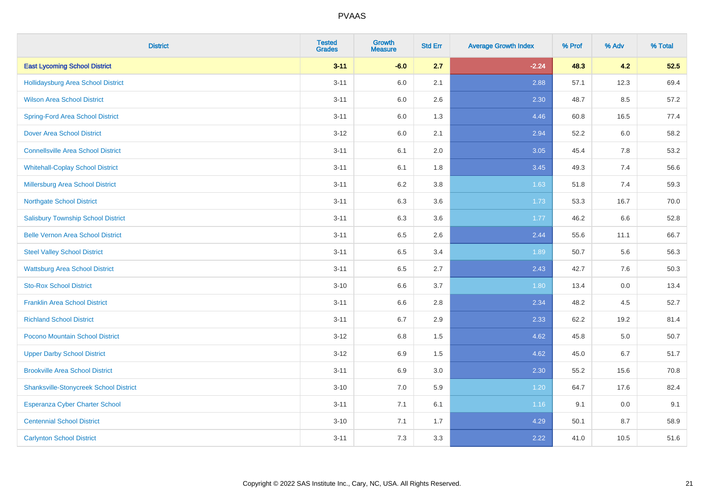| <b>District</b>                               | <b>Tested</b><br><b>Grades</b> | <b>Growth</b><br><b>Measure</b> | <b>Std Err</b> | <b>Average Growth Index</b> | % Prof | % Adv | % Total |
|-----------------------------------------------|--------------------------------|---------------------------------|----------------|-----------------------------|--------|-------|---------|
| <b>East Lycoming School District</b>          | $3 - 11$                       | $-6.0$                          | 2.7            | $-2.24$                     | 48.3   | 4.2   | 52.5    |
| <b>Hollidaysburg Area School District</b>     | $3 - 11$                       | 6.0                             | 2.1            | 2.88                        | 57.1   | 12.3  | 69.4    |
| <b>Wilson Area School District</b>            | $3 - 11$                       | 6.0                             | 2.6            | 2.30                        | 48.7   | 8.5   | 57.2    |
| <b>Spring-Ford Area School District</b>       | $3 - 11$                       | $6.0\,$                         | 1.3            | 4.46                        | 60.8   | 16.5  | 77.4    |
| <b>Dover Area School District</b>             | $3-12$                         | 6.0                             | 2.1            | 2.94                        | 52.2   | 6.0   | 58.2    |
| <b>Connellsville Area School District</b>     | $3 - 11$                       | 6.1                             | 2.0            | 3.05                        | 45.4   | 7.8   | 53.2    |
| <b>Whitehall-Coplay School District</b>       | $3 - 11$                       | 6.1                             | 1.8            | 3.45                        | 49.3   | 7.4   | 56.6    |
| <b>Millersburg Area School District</b>       | $3 - 11$                       | 6.2                             | 3.8            | 1.63                        | 51.8   | 7.4   | 59.3    |
| <b>Northgate School District</b>              | $3 - 11$                       | 6.3                             | 3.6            | 1.73                        | 53.3   | 16.7  | 70.0    |
| <b>Salisbury Township School District</b>     | $3 - 11$                       | 6.3                             | 3.6            | 1.77                        | 46.2   | 6.6   | 52.8    |
| <b>Belle Vernon Area School District</b>      | $3 - 11$                       | 6.5                             | 2.6            | 2.44                        | 55.6   | 11.1  | 66.7    |
| <b>Steel Valley School District</b>           | $3 - 11$                       | 6.5                             | 3.4            | 1.89                        | 50.7   | 5.6   | 56.3    |
| <b>Wattsburg Area School District</b>         | $3 - 11$                       | 6.5                             | 2.7            | 2.43                        | 42.7   | 7.6   | 50.3    |
| <b>Sto-Rox School District</b>                | $3 - 10$                       | 6.6                             | 3.7            | 1.80                        | 13.4   | 0.0   | 13.4    |
| <b>Franklin Area School District</b>          | $3 - 11$                       | 6.6                             | 2.8            | 2.34                        | 48.2   | 4.5   | 52.7    |
| <b>Richland School District</b>               | $3 - 11$                       | 6.7                             | 2.9            | 2.33                        | 62.2   | 19.2  | 81.4    |
| Pocono Mountain School District               | $3 - 12$                       | 6.8                             | 1.5            | 4.62                        | 45.8   | 5.0   | 50.7    |
| <b>Upper Darby School District</b>            | $3-12$                         | 6.9                             | 1.5            | 4.62                        | 45.0   | 6.7   | 51.7    |
| <b>Brookville Area School District</b>        | $3 - 11$                       | 6.9                             | 3.0            | 2.30                        | 55.2   | 15.6  | 70.8    |
| <b>Shanksville-Stonycreek School District</b> | $3 - 10$                       | 7.0                             | 5.9            | 1.20                        | 64.7   | 17.6  | 82.4    |
| <b>Esperanza Cyber Charter School</b>         | $3 - 11$                       | 7.1                             | 6.1            | 1.16                        | 9.1    | 0.0   | 9.1     |
| <b>Centennial School District</b>             | $3 - 10$                       | 7.1                             | 1.7            | 4.29                        | 50.1   | 8.7   | 58.9    |
| <b>Carlynton School District</b>              | $3 - 11$                       | 7.3                             | 3.3            | 2.22                        | 41.0   | 10.5  | 51.6    |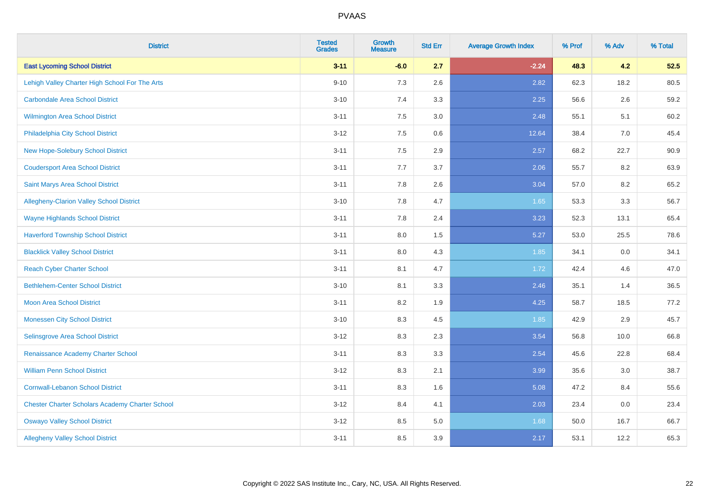| <b>District</b>                                        | <b>Tested</b><br><b>Grades</b> | <b>Growth</b><br><b>Measure</b> | <b>Std Err</b> | <b>Average Growth Index</b> | % Prof | % Adv | % Total |
|--------------------------------------------------------|--------------------------------|---------------------------------|----------------|-----------------------------|--------|-------|---------|
| <b>East Lycoming School District</b>                   | $3 - 11$                       | $-6.0$                          | 2.7            | $-2.24$                     | 48.3   | 4.2   | 52.5    |
| Lehigh Valley Charter High School For The Arts         | $9 - 10$                       | 7.3                             | 2.6            | 2.82                        | 62.3   | 18.2  | 80.5    |
| <b>Carbondale Area School District</b>                 | $3 - 10$                       | 7.4                             | 3.3            | 2.25                        | 56.6   | 2.6   | 59.2    |
| Wilmington Area School District                        | $3 - 11$                       | $7.5\,$                         | 3.0            | 2.48                        | 55.1   | 5.1   | 60.2    |
| Philadelphia City School District                      | $3 - 12$                       | 7.5                             | 0.6            | 12.64                       | 38.4   | 7.0   | 45.4    |
| <b>New Hope-Solebury School District</b>               | $3 - 11$                       | 7.5                             | 2.9            | 2.57                        | 68.2   | 22.7  | 90.9    |
| <b>Coudersport Area School District</b>                | $3 - 11$                       | 7.7                             | 3.7            | 2.06                        | 55.7   | 8.2   | 63.9    |
| Saint Marys Area School District                       | $3 - 11$                       | 7.8                             | 2.6            | 3.04                        | 57.0   | 8.2   | 65.2    |
| Allegheny-Clarion Valley School District               | $3 - 10$                       | 7.8                             | 4.7            | 1.65                        | 53.3   | 3.3   | 56.7    |
| <b>Wayne Highlands School District</b>                 | $3 - 11$                       | 7.8                             | 2.4            | 3.23                        | 52.3   | 13.1  | 65.4    |
| <b>Haverford Township School District</b>              | $3 - 11$                       | 8.0                             | 1.5            | 5.27                        | 53.0   | 25.5  | 78.6    |
| <b>Blacklick Valley School District</b>                | $3 - 11$                       | $8.0\,$                         | 4.3            | 1.85                        | 34.1   | 0.0   | 34.1    |
| <b>Reach Cyber Charter School</b>                      | $3 - 11$                       | 8.1                             | 4.7            | 1.72                        | 42.4   | 4.6   | 47.0    |
| <b>Bethlehem-Center School District</b>                | $3 - 10$                       | 8.1                             | 3.3            | 2.46                        | 35.1   | 1.4   | 36.5    |
| <b>Moon Area School District</b>                       | $3 - 11$                       | 8.2                             | 1.9            | 4.25                        | 58.7   | 18.5  | 77.2    |
| <b>Monessen City School District</b>                   | $3 - 10$                       | 8.3                             | 4.5            | 1.85                        | 42.9   | 2.9   | 45.7    |
| Selinsgrove Area School District                       | $3 - 12$                       | 8.3                             | 2.3            | 3.54                        | 56.8   | 10.0  | 66.8    |
| Renaissance Academy Charter School                     | $3 - 11$                       | 8.3                             | 3.3            | 2.54                        | 45.6   | 22.8  | 68.4    |
| <b>William Penn School District</b>                    | $3 - 12$                       | 8.3                             | 2.1            | 3.99                        | 35.6   | 3.0   | 38.7    |
| <b>Cornwall-Lebanon School District</b>                | $3 - 11$                       | 8.3                             | 1.6            | 5.08                        | 47.2   | 8.4   | 55.6    |
| <b>Chester Charter Scholars Academy Charter School</b> | $3 - 12$                       | 8.4                             | 4.1            | 2.03                        | 23.4   | 0.0   | 23.4    |
| <b>Oswayo Valley School District</b>                   | $3 - 12$                       | 8.5                             | $5.0\,$        | 1.68                        | 50.0   | 16.7  | 66.7    |
| <b>Allegheny Valley School District</b>                | $3 - 11$                       | 8.5                             | 3.9            | 2.17                        | 53.1   | 12.2  | 65.3    |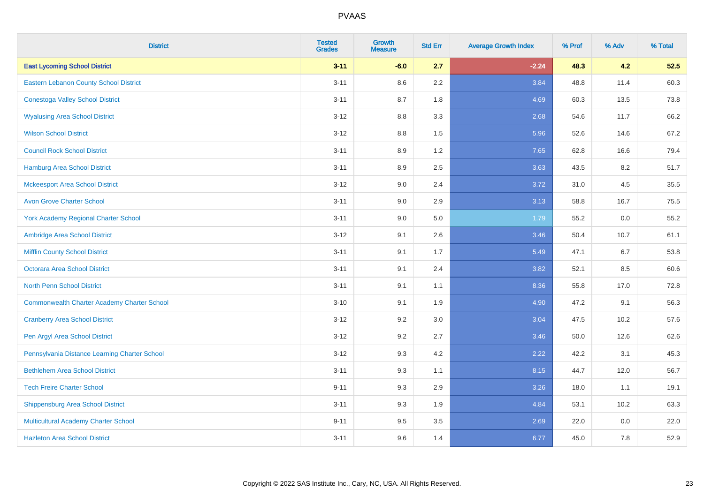| <b>District</b>                                    | <b>Tested</b><br><b>Grades</b> | <b>Growth</b><br><b>Measure</b> | <b>Std Err</b> | <b>Average Growth Index</b> | % Prof | % Adv | % Total |
|----------------------------------------------------|--------------------------------|---------------------------------|----------------|-----------------------------|--------|-------|---------|
| <b>East Lycoming School District</b>               | $3 - 11$                       | $-6.0$                          | 2.7            | $-2.24$                     | 48.3   | 4.2   | 52.5    |
| <b>Eastern Lebanon County School District</b>      | $3 - 11$                       | $8.6\,$                         | 2.2            | 3.84                        | 48.8   | 11.4  | 60.3    |
| <b>Conestoga Valley School District</b>            | $3 - 11$                       | 8.7                             | 1.8            | 4.69                        | 60.3   | 13.5  | 73.8    |
| <b>Wyalusing Area School District</b>              | $3 - 12$                       | 8.8                             | 3.3            | 2.68                        | 54.6   | 11.7  | 66.2    |
| <b>Wilson School District</b>                      | $3 - 12$                       | 8.8                             | 1.5            | 5.96                        | 52.6   | 14.6  | 67.2    |
| <b>Council Rock School District</b>                | $3 - 11$                       | 8.9                             | 1.2            | 7.65                        | 62.8   | 16.6  | 79.4    |
| <b>Hamburg Area School District</b>                | $3 - 11$                       | 8.9                             | 2.5            | 3.63                        | 43.5   | 8.2   | 51.7    |
| <b>Mckeesport Area School District</b>             | $3 - 12$                       | 9.0                             | 2.4            | 3.72                        | 31.0   | 4.5   | 35.5    |
| <b>Avon Grove Charter School</b>                   | $3 - 11$                       | 9.0                             | 2.9            | 3.13                        | 58.8   | 16.7  | 75.5    |
| York Academy Regional Charter School               | $3 - 11$                       | 9.0                             | 5.0            | 1.79                        | 55.2   | 0.0   | 55.2    |
| Ambridge Area School District                      | $3 - 12$                       | 9.1                             | 2.6            | 3.46                        | 50.4   | 10.7  | 61.1    |
| <b>Mifflin County School District</b>              | $3 - 11$                       | 9.1                             | 1.7            | 5.49                        | 47.1   | 6.7   | 53.8    |
| Octorara Area School District                      | $3 - 11$                       | 9.1                             | 2.4            | 3.82                        | 52.1   | 8.5   | 60.6    |
| <b>North Penn School District</b>                  | $3 - 11$                       | 9.1                             | 1.1            | 8.36                        | 55.8   | 17.0  | 72.8    |
| <b>Commonwealth Charter Academy Charter School</b> | $3 - 10$                       | 9.1                             | 1.9            | 4.90                        | 47.2   | 9.1   | 56.3    |
| <b>Cranberry Area School District</b>              | $3 - 12$                       | 9.2                             | 3.0            | 3.04                        | 47.5   | 10.2  | 57.6    |
| Pen Argyl Area School District                     | $3 - 12$                       | 9.2                             | 2.7            | 3.46                        | 50.0   | 12.6  | 62.6    |
| Pennsylvania Distance Learning Charter School      | $3 - 12$                       | 9.3                             | 4.2            | 2.22                        | 42.2   | 3.1   | 45.3    |
| <b>Bethlehem Area School District</b>              | $3 - 11$                       | 9.3                             | 1.1            | 8.15                        | 44.7   | 12.0  | 56.7    |
| <b>Tech Freire Charter School</b>                  | $9 - 11$                       | 9.3                             | 2.9            | 3.26                        | 18.0   | 1.1   | 19.1    |
| <b>Shippensburg Area School District</b>           | $3 - 11$                       | 9.3                             | 1.9            | 4.84                        | 53.1   | 10.2  | 63.3    |
| Multicultural Academy Charter School               | $9 - 11$                       | 9.5                             | 3.5            | 2.69                        | 22.0   | 0.0   | 22.0    |
| <b>Hazleton Area School District</b>               | $3 - 11$                       | 9.6                             | 1.4            | 6.77                        | 45.0   | 7.8   | 52.9    |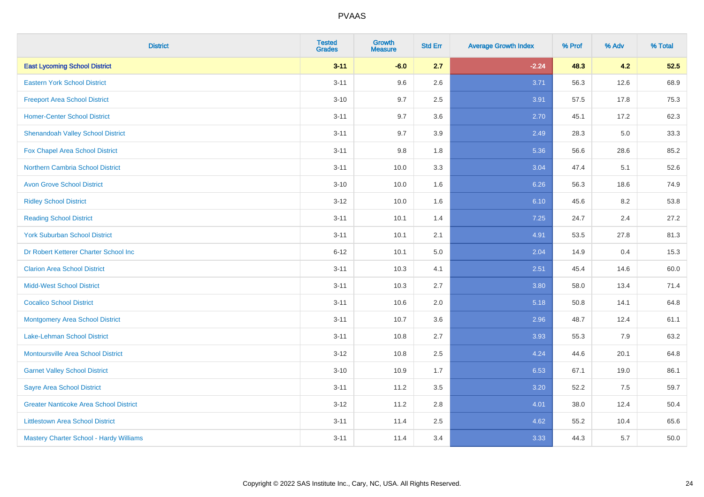| <b>District</b>                               | <b>Tested</b><br><b>Grades</b> | <b>Growth</b><br><b>Measure</b> | <b>Std Err</b> | <b>Average Growth Index</b> | % Prof | % Adv | % Total |
|-----------------------------------------------|--------------------------------|---------------------------------|----------------|-----------------------------|--------|-------|---------|
| <b>East Lycoming School District</b>          | $3 - 11$                       | $-6.0$                          | 2.7            | $-2.24$                     | 48.3   | 4.2   | 52.5    |
| <b>Eastern York School District</b>           | $3 - 11$                       | 9.6                             | 2.6            | 3.71                        | 56.3   | 12.6  | 68.9    |
| <b>Freeport Area School District</b>          | $3 - 10$                       | 9.7                             | 2.5            | 3.91                        | 57.5   | 17.8  | 75.3    |
| <b>Homer-Center School District</b>           | $3 - 11$                       | 9.7                             | 3.6            | 2.70                        | 45.1   | 17.2  | 62.3    |
| <b>Shenandoah Valley School District</b>      | $3 - 11$                       | 9.7                             | 3.9            | 2.49                        | 28.3   | 5.0   | 33.3    |
| Fox Chapel Area School District               | $3 - 11$                       | 9.8                             | 1.8            | 5.36                        | 56.6   | 28.6  | 85.2    |
| <b>Northern Cambria School District</b>       | $3 - 11$                       | 10.0                            | 3.3            | 3.04                        | 47.4   | 5.1   | 52.6    |
| <b>Avon Grove School District</b>             | $3 - 10$                       | 10.0                            | 1.6            | 6.26                        | 56.3   | 18.6  | 74.9    |
| <b>Ridley School District</b>                 | $3 - 12$                       | 10.0                            | 1.6            | 6.10                        | 45.6   | 8.2   | 53.8    |
| <b>Reading School District</b>                | $3 - 11$                       | 10.1                            | 1.4            | 7.25                        | 24.7   | 2.4   | 27.2    |
| <b>York Suburban School District</b>          | $3 - 11$                       | 10.1                            | 2.1            | 4.91                        | 53.5   | 27.8  | 81.3    |
| Dr Robert Ketterer Charter School Inc         | $6 - 12$                       | 10.1                            | 5.0            | 2.04                        | 14.9   | 0.4   | 15.3    |
| <b>Clarion Area School District</b>           | $3 - 11$                       | 10.3                            | 4.1            | 2.51                        | 45.4   | 14.6  | 60.0    |
| <b>Midd-West School District</b>              | $3 - 11$                       | 10.3                            | 2.7            | 3.80                        | 58.0   | 13.4  | 71.4    |
| <b>Cocalico School District</b>               | $3 - 11$                       | 10.6                            | 2.0            | 5.18                        | 50.8   | 14.1  | 64.8    |
| <b>Montgomery Area School District</b>        | $3 - 11$                       | 10.7                            | 3.6            | 2.96                        | 48.7   | 12.4  | 61.1    |
| Lake-Lehman School District                   | $3 - 11$                       | 10.8                            | 2.7            | 3.93                        | 55.3   | 7.9   | 63.2    |
| <b>Montoursville Area School District</b>     | $3 - 12$                       | 10.8                            | 2.5            | 4.24                        | 44.6   | 20.1  | 64.8    |
| <b>Garnet Valley School District</b>          | $3 - 10$                       | 10.9                            | 1.7            | 6.53                        | 67.1   | 19.0  | 86.1    |
| <b>Sayre Area School District</b>             | $3 - 11$                       | 11.2                            | 3.5            | 3.20                        | 52.2   | 7.5   | 59.7    |
| <b>Greater Nanticoke Area School District</b> | $3-12$                         | 11.2                            | 2.8            | 4.01                        | 38.0   | 12.4  | 50.4    |
| <b>Littlestown Area School District</b>       | $3 - 11$                       | 11.4                            | 2.5            | 4.62                        | 55.2   | 10.4  | 65.6    |
| Mastery Charter School - Hardy Williams       | $3 - 11$                       | 11.4                            | 3.4            | 3.33                        | 44.3   | 5.7   | 50.0    |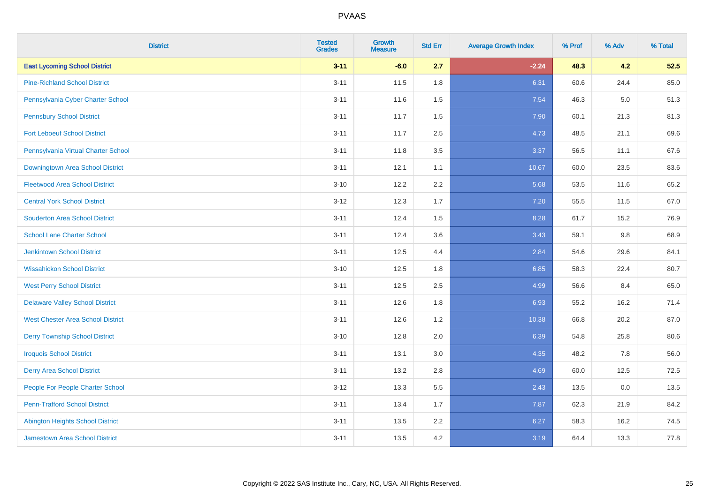| <b>District</b>                          | <b>Tested</b><br><b>Grades</b> | <b>Growth</b><br><b>Measure</b> | <b>Std Err</b> | <b>Average Growth Index</b> | % Prof | % Adv | % Total |
|------------------------------------------|--------------------------------|---------------------------------|----------------|-----------------------------|--------|-------|---------|
| <b>East Lycoming School District</b>     | $3 - 11$                       | $-6.0$                          | 2.7            | $-2.24$                     | 48.3   | 4.2   | 52.5    |
| <b>Pine-Richland School District</b>     | $3 - 11$                       | 11.5                            | 1.8            | 6.31                        | 60.6   | 24.4  | 85.0    |
| Pennsylvania Cyber Charter School        | $3 - 11$                       | 11.6                            | 1.5            | 7.54                        | 46.3   | 5.0   | 51.3    |
| <b>Pennsbury School District</b>         | $3 - 11$                       | 11.7                            | 1.5            | 7.90                        | 60.1   | 21.3  | 81.3    |
| <b>Fort Leboeuf School District</b>      | $3 - 11$                       | 11.7                            | 2.5            | 4.73                        | 48.5   | 21.1  | 69.6    |
| Pennsylvania Virtual Charter School      | $3 - 11$                       | 11.8                            | 3.5            | 3.37                        | 56.5   | 11.1  | 67.6    |
| Downingtown Area School District         | $3 - 11$                       | 12.1                            | 1.1            | 10.67                       | 60.0   | 23.5  | 83.6    |
| <b>Fleetwood Area School District</b>    | $3 - 10$                       | 12.2                            | 2.2            | 5.68                        | 53.5   | 11.6  | 65.2    |
| <b>Central York School District</b>      | $3 - 12$                       | 12.3                            | 1.7            | 7.20                        | 55.5   | 11.5  | 67.0    |
| <b>Souderton Area School District</b>    | $3 - 11$                       | 12.4                            | 1.5            | 8.28                        | 61.7   | 15.2  | 76.9    |
| <b>School Lane Charter School</b>        | $3 - 11$                       | 12.4                            | 3.6            | 3.43                        | 59.1   | 9.8   | 68.9    |
| <b>Jenkintown School District</b>        | $3 - 11$                       | 12.5                            | 4.4            | 2.84                        | 54.6   | 29.6  | 84.1    |
| <b>Wissahickon School District</b>       | $3 - 10$                       | 12.5                            | 1.8            | 6.85                        | 58.3   | 22.4  | 80.7    |
| <b>West Perry School District</b>        | $3 - 11$                       | 12.5                            | 2.5            | 4.99                        | 56.6   | 8.4   | 65.0    |
| <b>Delaware Valley School District</b>   | $3 - 11$                       | 12.6                            | 1.8            | 6.93                        | 55.2   | 16.2  | 71.4    |
| <b>West Chester Area School District</b> | $3 - 11$                       | 12.6                            | 1.2            | 10.38                       | 66.8   | 20.2  | 87.0    |
| <b>Derry Township School District</b>    | $3 - 10$                       | 12.8                            | 2.0            | 6.39                        | 54.8   | 25.8  | 80.6    |
| <b>Iroquois School District</b>          | $3 - 11$                       | 13.1                            | 3.0            | 4.35                        | 48.2   | 7.8   | 56.0    |
| <b>Derry Area School District</b>        | $3 - 11$                       | 13.2                            | 2.8            | 4.69                        | 60.0   | 12.5  | 72.5    |
| People For People Charter School         | $3 - 12$                       | 13.3                            | 5.5            | 2.43                        | 13.5   | 0.0   | 13.5    |
| <b>Penn-Trafford School District</b>     | $3 - 11$                       | 13.4                            | 1.7            | 7.87                        | 62.3   | 21.9  | 84.2    |
| <b>Abington Heights School District</b>  | $3 - 11$                       | 13.5                            | 2.2            | 6.27                        | 58.3   | 16.2  | 74.5    |
| <b>Jamestown Area School District</b>    | $3 - 11$                       | 13.5                            | 4.2            | 3.19                        | 64.4   | 13.3  | 77.8    |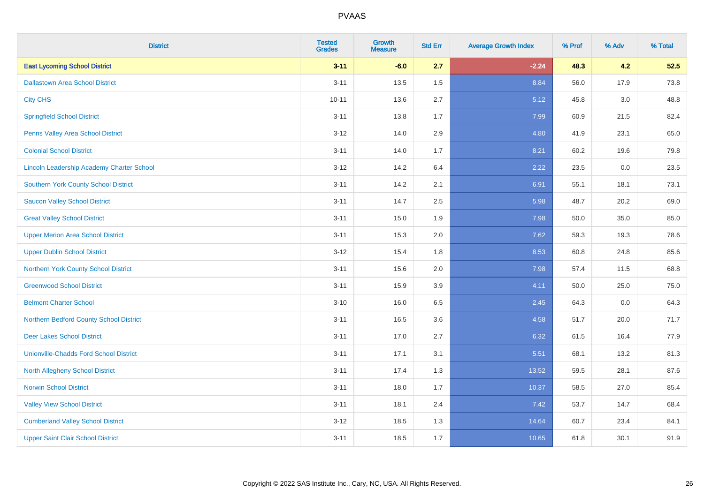| <b>District</b>                               | <b>Tested</b><br><b>Grades</b> | <b>Growth</b><br><b>Measure</b> | <b>Std Err</b> | <b>Average Growth Index</b> | % Prof | % Adv   | % Total |
|-----------------------------------------------|--------------------------------|---------------------------------|----------------|-----------------------------|--------|---------|---------|
| <b>East Lycoming School District</b>          | $3 - 11$                       | $-6.0$                          | 2.7            | $-2.24$                     | 48.3   | 4.2     | 52.5    |
| <b>Dallastown Area School District</b>        | $3 - 11$                       | 13.5                            | 1.5            | 8.84                        | 56.0   | 17.9    | 73.8    |
| <b>City CHS</b>                               | $10 - 11$                      | 13.6                            | 2.7            | 5.12                        | 45.8   | 3.0     | 48.8    |
| <b>Springfield School District</b>            | $3 - 11$                       | 13.8                            | 1.7            | 7.99                        | 60.9   | 21.5    | 82.4    |
| Penns Valley Area School District             | $3 - 12$                       | 14.0                            | 2.9            | 4.80                        | 41.9   | 23.1    | 65.0    |
| <b>Colonial School District</b>               | $3 - 11$                       | 14.0                            | 1.7            | 8.21                        | 60.2   | 19.6    | 79.8    |
| Lincoln Leadership Academy Charter School     | $3 - 12$                       | 14.2                            | 6.4            | 2.22                        | 23.5   | $0.0\,$ | 23.5    |
| <b>Southern York County School District</b>   | $3 - 11$                       | 14.2                            | 2.1            | 6.91                        | 55.1   | 18.1    | 73.1    |
| <b>Saucon Valley School District</b>          | $3 - 11$                       | 14.7                            | 2.5            | 5.98                        | 48.7   | 20.2    | 69.0    |
| <b>Great Valley School District</b>           | $3 - 11$                       | 15.0                            | 1.9            | 7.98                        | 50.0   | 35.0    | 85.0    |
| <b>Upper Merion Area School District</b>      | $3 - 11$                       | 15.3                            | 2.0            | 7.62                        | 59.3   | 19.3    | 78.6    |
| <b>Upper Dublin School District</b>           | $3 - 12$                       | 15.4                            | 1.8            | 8.53                        | 60.8   | 24.8    | 85.6    |
| Northern York County School District          | $3 - 11$                       | 15.6                            | 2.0            | 7.98                        | 57.4   | 11.5    | 68.8    |
| <b>Greenwood School District</b>              | $3 - 11$                       | 15.9                            | 3.9            | 4.11                        | 50.0   | 25.0    | 75.0    |
| <b>Belmont Charter School</b>                 | $3 - 10$                       | 16.0                            | 6.5            | 2.45                        | 64.3   | 0.0     | 64.3    |
| Northern Bedford County School District       | $3 - 11$                       | 16.5                            | 3.6            | 4.58                        | 51.7   | 20.0    | 71.7    |
| <b>Deer Lakes School District</b>             | $3 - 11$                       | 17.0                            | 2.7            | 6.32                        | 61.5   | 16.4    | 77.9    |
| <b>Unionville-Chadds Ford School District</b> | $3 - 11$                       | 17.1                            | 3.1            | 5.51                        | 68.1   | 13.2    | 81.3    |
| <b>North Allegheny School District</b>        | $3 - 11$                       | 17.4                            | 1.3            | 13.52                       | 59.5   | 28.1    | 87.6    |
| <b>Norwin School District</b>                 | $3 - 11$                       | 18.0                            | 1.7            | 10.37                       | 58.5   | 27.0    | 85.4    |
| <b>Valley View School District</b>            | $3 - 11$                       | 18.1                            | 2.4            | 7.42                        | 53.7   | 14.7    | 68.4    |
| <b>Cumberland Valley School District</b>      | $3 - 12$                       | 18.5                            | 1.3            | 14.64                       | 60.7   | 23.4    | 84.1    |
| <b>Upper Saint Clair School District</b>      | $3 - 11$                       | 18.5                            | 1.7            | 10.65                       | 61.8   | 30.1    | 91.9    |